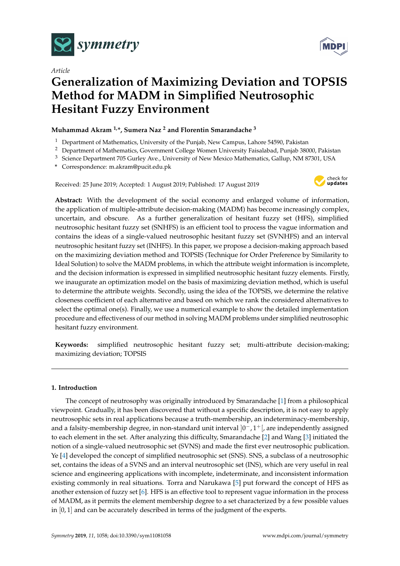

*Article*



# **Generalization of Maximizing Deviation and TOPSIS Method for MADM in Simplified Neutrosophic Hesitant Fuzzy Environment**

# **Muhammad Akram 1,\*, Sumera Naz <sup>2</sup> and Florentin Smarandache <sup>3</sup>**

- <sup>1</sup> Department of Mathematics, University of the Punjab, New Campus, Lahore 54590, Pakistan
- <sup>2</sup> Department of Mathematics, Government College Women University Faisalabad, Punjab 38000, Pakistan
- <sup>3</sup> Science Department 705 Gurley Ave., University of New Mexico Mathematics, Gallup, NM 87301, USA
- **\*** Correspondence: m.akram@pucit.edu.pk

Received: 25 June 2019; Accepted: 1 August 2019; Published: 17 August 2019



**Abstract:** With the development of the social economy and enlarged volume of information, the application of multiple-attribute decision-making (MADM) has become increasingly complex, uncertain, and obscure. As a further generalization of hesitant fuzzy set (HFS), simplified neutrosophic hesitant fuzzy set (SNHFS) is an efficient tool to process the vague information and contains the ideas of a single-valued neutrosophic hesitant fuzzy set (SVNHFS) and an interval neutrosophic hesitant fuzzy set (INHFS). In this paper, we propose a decision-making approach based on the maximizing deviation method and TOPSIS (Technique for Order Preference by Similarity to Ideal Solution) to solve the MADM problems, in which the attribute weight information is incomplete, and the decision information is expressed in simplified neutrosophic hesitant fuzzy elements. Firstly, we inaugurate an optimization model on the basis of maximizing deviation method, which is useful to determine the attribute weights. Secondly, using the idea of the TOPSIS, we determine the relative closeness coefficient of each alternative and based on which we rank the considered alternatives to select the optimal one(s). Finally, we use a numerical example to show the detailed implementation procedure and effectiveness of our method in solving MADM problems under simplified neutrosophic hesitant fuzzy environment.

**Keywords:** simplified neutrosophic hesitant fuzzy set; multi-attribute decision-making; maximizing deviation; TOPSIS

# **1. Introduction**

The concept of neutrosophy was originally introduced by Smarandache [\[1\]](#page-24-0) from a philosophical viewpoint. Gradually, it has been discovered that without a specific description, it is not easy to apply neutrosophic sets in real applications because a truth-membership, an indeterminacy-membership, and a falsity-membership degree, in non-standard unit interval  $]0^-$ ,  $1^+$  [, are independently assigned to each element in the set. After analyzing this difficulty, Smarandache [\[2\]](#page-24-1) and Wang [\[3\]](#page-24-2) initiated the notion of a single-valued neutrosophic set (SVNS) and made the first ever neutrosophic publication. Ye [\[4\]](#page-24-3) developed the concept of simplified neutrosophic set (SNS). SNS, a subclass of a neutrosophic set, contains the ideas of a SVNS and an interval neutrosophic set (INS), which are very useful in real science and engineering applications with incomplete, indeterminate, and inconsistent information existing commonly in real situations. Torra and Narukawa [\[5\]](#page-24-4) put forward the concept of HFS as another extension of fuzzy set [\[6\]](#page-24-5). HFS is an effective tool to represent vague information in the process of MADM, as it permits the element membership degree to a set characterized by a few possible values in [0, 1] and can be accurately described in terms of the judgment of the experts.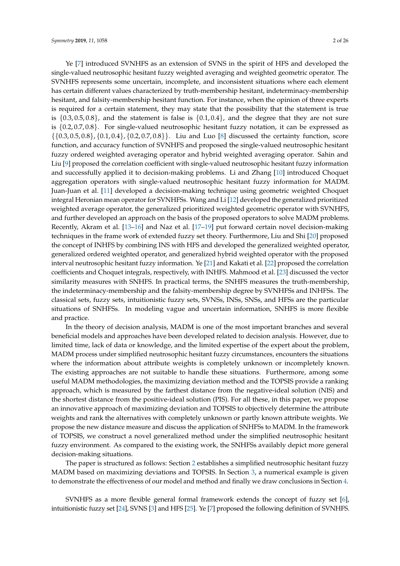Ye [\[7\]](#page-24-6) introduced SVNHFS as an extension of SVNS in the spirit of HFS and developed the single-valued neutrosophic hesitant fuzzy weighted averaging and weighted geometric operator. The SVNHFS represents some uncertain, incomplete, and inconsistent situations where each element has certain different values characterized by truth-membership hesitant, indeterminacy-membership hesitant, and falsity-membership hesitant function. For instance, when the opinion of three experts is required for a certain statement, they may state that the possibility that the statement is true is  $\{0.3, 0.5, 0.8\}$ , and the statement is false is  $\{0.1, 0.4\}$ , and the degree that they are not sure is {0.2, 0.7, 0.8}. For single-valued neutrosophic hesitant fuzzy notation, it can be expressed as  $\{0.3, 0.5, 0.8\}, \{0.1, 0.4\}, \{0.2, 0.7, 0.8\}\}.$  Liu and Luo [\[8\]](#page-24-7) discussed the certainty function, score function, and accuracy function of SVNHFS and proposed the single-valued neutrosophic hesitant fuzzy ordered weighted averaging operator and hybrid weighted averaging operator. Sahin and Liu [\[9\]](#page-24-8) proposed the correlation coefficient with single-valued neutrosophic hesitant fuzzy information and successfully applied it to decision-making problems. Li and Zhang [\[10\]](#page-24-9) introduced Choquet aggregation operators with single-valued neutrosophic hesitant fuzzy information for MADM. Juan-Juan et al. [\[11\]](#page-24-10) developed a decision-making technique using geometric weighted Choquet integral Heronian mean operator for SVNHFSs. Wang and Li [\[12\]](#page-24-11) developed the generalized prioritized weighted average operator, the generalized prioritized weighted geometric operator with SVNHFS, and further developed an approach on the basis of the proposed operators to solve MADM problems. Recently, Akram et al. [\[13](#page-24-12)[–16\]](#page-24-13) and Naz et al. [\[17–](#page-24-14)[19\]](#page-24-15) put forward certain novel decision-making techniques in the frame work of extended fuzzy set theory. Furthermore, Liu and Shi [\[20\]](#page-25-0) proposed the concept of INHFS by combining INS with HFS and developed the generalized weighted operator, generalized ordered weighted operator, and generalized hybrid weighted operator with the proposed interval neutrosophic hesitant fuzzy information. Ye [\[21\]](#page-25-1) and Kakati et al. [\[22\]](#page-25-2) proposed the correlation coefficients and Choquet integrals, respectively, with INHFS. Mahmood et al. [\[23\]](#page-25-3) discussed the vector similarity measures with SNHFS. In practical terms, the SNHFS measures the truth-membership, the indeterminacy-membership and the falsity-membership degree by SVNHFSs and INHFSs. The classical sets, fuzzy sets, intuitionistic fuzzy sets, SVNSs, INSs, SNSs, and HFSs are the particular situations of SNHFSs. In modeling vague and uncertain information, SNHFS is more flexible and practice.

In the theory of decision analysis, MADM is one of the most important branches and several beneficial models and approaches have been developed related to decision analysis. However, due to limited time, lack of data or knowledge, and the limited expertise of the expert about the problem, MADM process under simplified neutrosophic hesitant fuzzy circumstances, encounters the situations where the information about attribute weights is completely unknown or incompletely known. The existing approaches are not suitable to handle these situations. Furthermore, among some useful MADM methodologies, the maximizing deviation method and the TOPSIS provide a ranking approach, which is measured by the farthest distance from the negative-ideal solution (NIS) and the shortest distance from the positive-ideal solution (PIS). For all these, in this paper, we propose an innovative approach of maximizing deviation and TOPSIS to objectively determine the attribute weights and rank the alternatives with completely unknown or partly known attribute weights. We propose the new distance measure and discuss the application of SNHFSs to MADM. In the framework of TOPSIS, we construct a novel generalized method under the simplified neutrosophic hesitant fuzzy environment. As compared to the existing work, the SNHFSs availably depict more general decision-making situations.

The paper is structured as follows: Section [2](#page-2-0) establishes a simplified neutrosophic hesitant fuzzy MADM based on maximizing deviations and TOPSIS. In Section [3,](#page-16-0) a numerical example is given to demonstrate the effectiveness of our model and method and finally we draw conclusions in Section [4.](#page-23-0)

SVNHFS as a more flexible general formal framework extends the concept of fuzzy set [\[6\]](#page-24-5), intuitionistic fuzzy set [\[24\]](#page-25-4), SVNS [\[3\]](#page-24-2) and HFS [\[25\]](#page-25-5). Ye [\[7\]](#page-24-6) proposed the following definition of SVNHFS.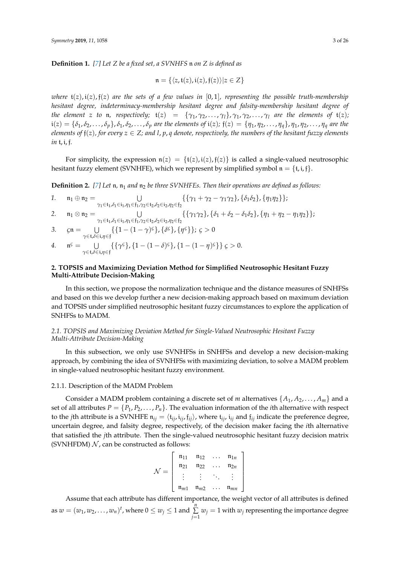**Definition 1.** *[\[7\]](#page-24-6) Let Z be a fixed set, a SVNHFS* n *on Z is defined as*

$$
\mathfrak{n} = \{ \langle z, \mathfrak{t}(z), \mathfrak{i}(z), \mathfrak{f}(z) \rangle | z \in Z \}
$$

*where*  $t(z)$ ,  $i(z)$ ,  $f(z)$  *are the sets of a few values in* [0, 1]*, representing the possible truth-membership hesitant degree, indeterminacy-membership hesitant degree and falsity-membership hesitant degree of the element z to* **n**, *respectively;*  $\mathfrak{t}(z) = {\gamma_1, \gamma_2, ..., \gamma_l}, \gamma_1, \gamma_2, ..., \gamma_l$  *are the elements of*  $\mathfrak{t}(z)$ *;*  $i(z) = {\delta_1, \delta_2, \ldots, \delta_p}$ ,  $\delta_1, \delta_2, \ldots, \delta_p$  are the elements of  $i(z)$ ;  $f(z) = {\eta_1, \eta_2, \ldots, \eta_q}$ ,  $\eta_1, \eta_2, \ldots, \eta_q$  are the *elements of*  $f(z)$ *, for every*  $z \in Z$ *; and l, p, q denote, respectively, the numbers of the hesitant fuzzy elements in* t, i, f*.*

For simplicity, the expression  $n(z) = \{t(z), i(z), f(z)\}$  is called a single-valued neutrosophic hesitant fuzzy element (SVNHFE), which we represent by simplified symbol  $\mathfrak{n} = \{\mathfrak{t}, \mathfrak{i}, \mathfrak{f}\}.$ 

**Definition 2.** [\[7\]](#page-24-6) Let  $n$ ,  $n_1$  and  $n_2$  be three SVNHFEs. Then their operations are defined as follows:

1. 
$$
\mathfrak{n}_1 \oplus \mathfrak{n}_2 = \bigcup_{\gamma_1 \in \mathfrak{t}_1, \delta_1 \in \mathfrak{i}_1, \eta_1 \in \mathfrak{f}_1, \gamma_2 \in \mathfrak{t}_2, \delta_2 \in \mathfrak{i}_2, \eta_2 \in \mathfrak{f}_2} \{ \{ \gamma_1 + \gamma_2 - \gamma_1 \gamma_2 \}, \{ \delta_1 \delta_2 \}, \{ \eta_1 \eta_2 \} \};
$$
\n2. 
$$
\mathfrak{n}_1 \otimes \mathfrak{n}_2 = \bigcup_{\gamma_1 \in \mathfrak{t}_1, \delta_1 \in \mathfrak{i}_1, \eta_1 \in \mathfrak{f}_1, \gamma_2 \in \mathfrak{t}_2, \delta_2 \in \mathfrak{i}_2, \eta_2 \in \mathfrak{f}_2} \{ \{ \gamma_1 \gamma_2 \}, \{ \delta_1 + \delta_2 - \delta_1 \delta_2 \}, \{ \eta_1 + \eta_2 - \eta_1 \eta_2 \} \};
$$
\n3. 
$$
\mathfrak{c} \mathfrak{n} = \bigcup_{\gamma \in \mathfrak{t}, \delta \in \mathfrak{i}, \eta \in \mathfrak{f}} \{ \{ 1 - (1 - \gamma)^{\varsigma} \}, \{ \delta^{\varsigma} \}, \{ \eta^{\varsigma} \} \}; \, \varsigma > 0
$$
\n4. 
$$
\mathfrak{n}^{\varsigma} = \bigcup_{\gamma \in \mathfrak{t}, \delta \in \mathfrak{i}, \eta \in \mathfrak{f}} \{ \{ \gamma^{\varsigma} \}, \{ 1 - (1 - \delta)^{\varsigma} \}, \{ 1 - (1 - \eta)^{\varsigma} \} \} \, \varsigma > 0.
$$

# <span id="page-2-0"></span>**2. TOPSIS and Maximizing Deviation Method for Simplified Neutrosophic Hesitant Fuzzy Multi-Attribute Decision-Making**

In this section, we propose the normalization technique and the distance measures of SNHFSs and based on this we develop further a new decision-making approach based on maximum deviation and TOPSIS under simplified neutrosophic hesitant fuzzy circumstances to explore the application of SNHFSs to MADM.

## <span id="page-2-1"></span>*2.1. TOPSIS and Maximizing Deviation Method for Single-Valued Neutrosophic Hesitant Fuzzy Multi-Attribute Decision-Making*

In this subsection, we only use SVNHFSs in SNHFSs and develop a new decision-making approach, by combining the idea of SVNHFSs with maximizing deviation, to solve a MADM problem in single-valued neutrosophic hesitant fuzzy environment.

#### 2.1.1. Description of the MADM Problem

Consider a MADM problem containing a discrete set of *m* alternatives  $\{A_1, A_2, \ldots, A_m\}$  and a set of all attributes  $P = \{P_1, P_2, \ldots, P_n\}$ . The evaluation information of the *i*th alternative with respect to the *j*th attribute is a SVNHFE  $n_{ij} = \langle t_{ij}, i_{ij}, f_{ij} \rangle$ , where  $t_{ij}$ ,  $i_{ij}$  and  $f_{ij}$  indicate the preference degree, uncertain degree, and falsity degree, respectively, of the decision maker facing the *i*th alternative that satisfied the *j*th attribute. Then the single-valued neutrosophic hesitant fuzzy decision matrix (SVNHFDM)  $N$ , can be constructed as follows:

$$
\mathcal{N} = \left[ \begin{array}{cccc} n_{11} & n_{12} & \dots & n_{1n} \\ n_{21} & n_{22} & \dots & n_{2n} \\ \vdots & \vdots & \ddots & \vdots \\ n_{m1} & n_{m2} & \dots & n_{mn} \end{array} \right]
$$

Assume that each attribute has different importance, the weight vector of all attributes is defined as  $w = (w_1, w_2, \dots, w_n)^t$ , where  $0 \le w_j \le 1$  and  $\sum_{i=1}^n$  $\sum_{j=1} w_j = 1$  with  $w_j$  representing the importance degree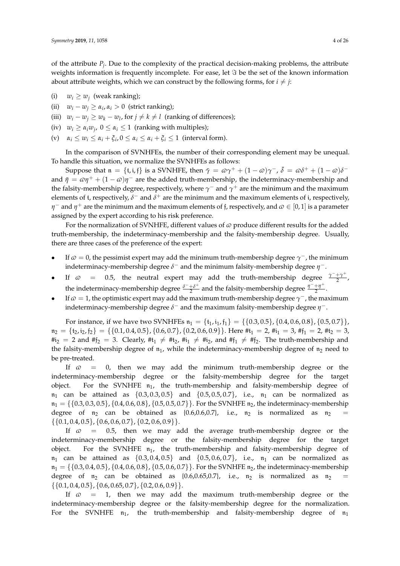of the attribute *P<sup>j</sup>* . Due to the complexity of the practical decision-making problems, the attribute weights information is frequently incomplete. For ease, let  $\Im$  be the set of the known information about attribute weights, which we can construct by the following forms, for  $i \neq j$ :

- (i)  $w_i \geq w_j$  (weak ranking);
- (ii)  $w_i w_j \ge \alpha_i, \alpha_i > 0$  (strict ranking);
- (iii)  $w_i w_j \ge w_k w_l$ , for  $j \ne k \ne l$  (ranking of differences);
- (iv)  $w_i \geq \alpha_i w_j$ ,  $0 \leq \alpha_i \leq 1$  (ranking with multiples);
- $\alpha_i \leq w_i \leq \alpha_i + \xi_i$ ,  $0 \leq \alpha_i \leq \alpha_i + \xi_i \leq 1$  (interval form).

In the comparison of SVNHFEs, the number of their corresponding element may be unequal. To handle this situation, we normalize the SVNHFEs as follows:

Suppose that  $\mathfrak{n} = \{\mathfrak{t}, \mathfrak{i}, \mathfrak{f}\}\)$  is a SVNHFE, then  $\bar{\gamma} = \omega \gamma^+ + (1 - \omega) \gamma^-$ ,  $\bar{\delta} = \omega \delta^+ + (1 - \omega) \delta^$ and  $\bar{\eta} = \omega \eta^+ + (1 - \omega)\eta^-$  are the added truth-membership, the indeterminacy-membership and the falsity-membership degree, respectively, where  $\gamma^-$  and  $\gamma^+$  are the minimum and the maximum elements of t, respectively,  $\delta^-$  and  $\delta^+$  are the minimum and the maximum elements of i, respectively, *η*  $^-$  and *η*<sup>+</sup> are the minimum and the maximum elements of f, respectively, and  $\omega \in [0,1]$  is a parameter assigned by the expert according to his risk preference.

For the normalization of SVNHFE, different values of  $\varpi$  produce different results for the added truth-membership, the indeterminacy-membership and the falsity-membership degree. Usually, there are three cases of the preference of the expert:

- **•** If  $\varphi = 0$ , the pessimist expert may add the minimum truth-membership degree  $\gamma$ <sup>-</sup>, the minimum indeterminacy-membership degree *δ* − and the minimum falsity-membership degree *η* −.
- If  $\varpi = 0.5$ , the neutral expert may add the truth-membership degree  $\frac{\gamma^- + \gamma^+}{2}$  $\frac{+1}{2}$ , the indeterminacy-membership degree  $\frac{\delta^- + \delta^+}{2}$  $\frac{+\delta^+}{2}$  and the falsity-membership degree  $\frac{\eta^-+\eta^+}{2}$  $rac{1}{2}$ .
- **•** If  $\omega = 1$ , the optimistic expert may add the maximum truth-membership degree  $\gamma^-$ , the maximum indeterminacy-membership degree *δ* − and the maximum falsity-membership degree *η* −.

For instance, if we have two SVNHFEs  $n_1 = \{t_1, i_1, f_1\} = \{\{0.3, 0.5\}, \{0.4, 0.6, 0.8\}, \{0.5, 0.7\}\},$  $n_2 = \{t_2, t_2, t_2\} = \{\{0.1, 0.4, 0.5\}, \{0.6, 0.7\}, \{0.2, 0.6, 0.9\}\}\.$  Here  $\#t_1 = 2$ ,  $\#t_1 = 3$ ,  $\#t_1 = 2$ ,  $\#t_2 = 3$ ,  $\#\mathfrak{i}_2 = 2$  and  $\#\mathfrak{f}_2 = 3$ . Clearly,  $\#\mathfrak{t}_1 \neq \#\mathfrak{t}_2$ ,  $\#\mathfrak{t}_1 \neq \#\mathfrak{t}_2$ , and  $\#\mathfrak{f}_1 \neq \#\mathfrak{f}_2$ . The truth-membership and the falsity-membership degree of  $n_1$ , while the indeterminacy-membership degree of  $n_2$  need to be pre-treated.

If  $\varphi$  = 0, then we may add the minimum truth-membership degree or the indeterminacy-membership degree or the falsity-membership degree for the target object. For the SVNHFE  $n_1$ , the truth-membership and falsity-membership degree of  $n_1$  can be attained as  $\{0.3, 0.3, 0.5\}$  and  $\{0.5, 0.5, 0.7\}$ , i.e.,  $n_1$  can be normalized as  $n_1 = \{ \{0.3, 0.3, 0.5\}, \{0.4, 0.6, 0.8\}, \{0.5, 0.5, 0.7\} \}$ . For the SVNHFE  $n_2$ , the indeterminacy-membership degree of  $n_2$  can be obtained as {0.6,0.6,0.7}, i.e.,  $n_2$  is normalized as  $n_2$  $\{\{0.1, 0.4, 0.5\}, \{0.6, 0.6, 0.7\}, \{0.2, 0.6, 0.9\}\}.$ 

If  $\varphi$  = 0.5, then we may add the average truth-membership degree or the indeterminacy-membership degree or the falsity-membership degree for the target object. For the SVNHFE  $n_1$ , the truth-membership and falsity-membership degree of  $n_1$  can be attained as  $\{0.3, 0.4, 0.5\}$  and  $\{0.5, 0.6, 0.7\}$ , i.e.,  $n_1$  can be normalized as  $n_1 = \{ \{0.3, 0.4, 0.5\}, \{0.4, 0.6, 0.8\}, \{0.5, 0.6, 0.7\} \}$ . For the SVNHFE  $n_2$ , the indeterminacy-membership degree of  $n_2$  can be obtained as {0.6,0.65,0.7}, i.e.,  $n_2$  is normalized as  $n_2$  $\{\{0.1, 0.4, 0.5\}, \{0.6, 0.65, 0.7\}, \{0.2, 0.6, 0.9\}\}.$ 

If  $\varphi$  = 1, then we may add the maximum truth-membership degree or the indeterminacy-membership degree or the falsity-membership degree for the normalization. For the SVNHFE  $n_1$ , the truth-membership and falsity-membership degree of  $n_1$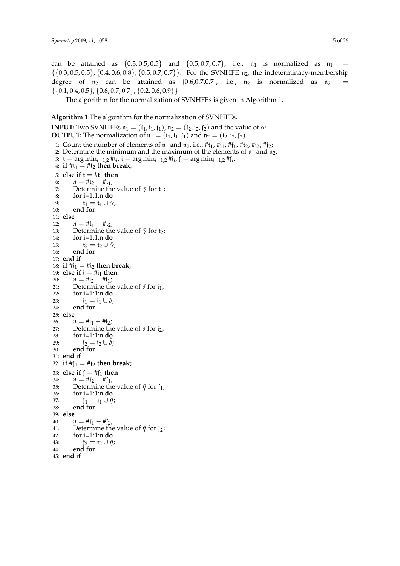can be attained as  $\{0.3, 0.5, 0.5\}$  and  $\{0.5, 0.7, 0.7\}$ , i.e.,  $\mathfrak{n}_1$  is normalized as  $\mathfrak{n}_1 =$  $\{0.3, 0.5, 0.5\}, \{0.4, 0.6, 0.8\}, \{0.5, 0.7, 0.7\}$ . For the SVNHFE  $n_2$ , the indeterminacy-membership degree of  $n_2$  can be attained as {0.6,0.7,0.7}, i.e.,  $n_2$  is normalized as  $n_2$  $\{\{0.1, 0.4, 0.5\}, \{0.6, 0.7, 0.7\}, \{0.2, 0.6, 0.9\}\}.$ 

The algorithm for the normalization of SVNHFEs is given in Algorithm [1.](#page-4-0)

<span id="page-4-0"></span>**Algorithm 1** The algorithm for the normalization of SVNHFEs.

```
INPUT: Two SVNHFEs n_1 = (t_1, i_1, f_1), n_2 = (t_2, i_2, f_2) and the value of \varnothing.
OUTPUT: The normalization of n_1 = (t_1, i_1, f_1) and n_2 = (t_2, i_2, f_2).
  1: Count the number of elements of n_1 and n_2, i.e., #t<sub>1</sub>, #t<sub>1</sub>, #f<sub>1</sub>, #t<sub>2</sub>, #i<sub>2</sub>, #f<sub>2</sub>;
 2: Determine the minimum and the maximum of the elements of n_1 and n_2;
  3: t = \arg \min_{i=1,2} H_t, t = \arg \min_{i=1,2} H_t, f = \arg \min_{i=1,2} H_t4: if #t_1 = #t_2 then break;
 5: else if t = #t_1 then<br>6: n = #t_2 - #t_1:
 6: n = #t_2 - #t_1;<br>7: Determine the
 7: Determine the value of \bar{\gamma} for t<sub>1</sub>;<br>8: for i=1:1:n do
           8: for i=1:1:n do
9: t_1 = t_1 \cup \overline{\gamma};<br>10: end for
           end for
11: else
12: n = #t_1 - #t_2;<br>
13: Determine the
13: Determine the value of \bar{\gamma} for t<sub>2</sub>;<br>14: for i=1:1:n do
           14: for i=1:1:n do
15: t_2 = t_2 \cup \bar{\gamma};<br>16: end for
           end for
17: end if
18: if \#i_1 = \#i_2 then break;
19: else if i = #i_1 then<br>20: n = #i_2 - #i_120: n = #i_2 - #i_1;<br>21: Determine the
21: Determine the value of \bar{\delta} for i<sub>1</sub>;<br>22: for i=1:1:n do
           22: for i=1:1:n do
23: i_1 = i_1 \cup \delta;<br>24: end for
           end for
25: else
26: n = #i_1 - #i_2;<br>27: Determine the
27: Determine the value of \bar{\delta} for i<sub>2</sub>;<br>28: for i=1:1:n do
           28: for i=1:1:n do
29: i_2 = i_2 \cup \delta;<br>30: end for
           30: end for
31: end if
32: if #f_1 = #f_2 then break;
33: else if f = #f_1 then<br>34: n = #f_2 - #f_1:
34: n = #f_2 - #f_1;<br>35: Determine the
35: Determine the value of \bar{\eta} for f_1;<br>36: for i=1:1:n do
36: for i=1:1:n do<br>37: f_1 = f_1 \cup \bar{n}37: f_1 = f_1 \cup \bar{\eta};<br>38: end for
           38: end for
39: else
40: n = #f_1 - #f_2;<br>41: Determine the
41: Determine the value of \bar{\eta} for f_2;<br>42: for i=1:1:n do
            42: for i=1:1:n do
43: f_2 = f_2 \cup \bar{\eta};<br>44: end for
           44: end for
45: end if
```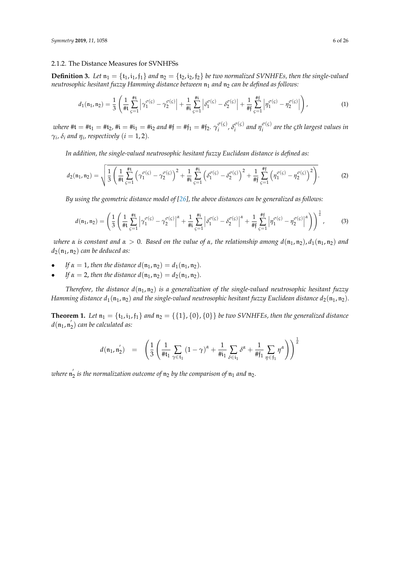#### 2.1.2. The Distance Measures for SVNHFSs

**Definition 3.** Let  $n_1 = \{t_1, i_1, f_1\}$  and  $n_2 = \{t_2, i_2, f_2\}$  be two normalized SVNHFEs, then the single-valued *neutrosophic hesitant fuzzy Hamming distance between*  $n_1$  *and*  $n_2$  *can be defined as follows:* 

$$
d_1(\mathfrak{n}_1, \mathfrak{n}_2) = \frac{1}{3} \left( \frac{1}{\# \mathfrak{t}} \sum_{\varsigma=1}^{\# \mathfrak{t}} \left| \gamma_1^{\sigma(\varsigma)} - \gamma_2^{\sigma(\varsigma)} \right| + \frac{1}{\# \mathfrak{i}} \sum_{\varsigma=1}^{\# \mathfrak{i}} \left| \delta_1^{\sigma(\varsigma)} - \delta_2^{\sigma(\varsigma)} \right| + \frac{1}{\# \mathfrak{f}} \sum_{\varsigma=1}^{\# \mathfrak{f}} \left| \eta_1^{\sigma(\varsigma)} - \eta_2^{\sigma(\varsigma)} \right| \right), \tag{1}
$$

*where*  $\#$ **t**  $=$   $\#$ **t**<sub>1</sub>  $=$   $\#$ **t**<sub>2</sub>*,*  $\#$ **i**<sub>1</sub>  $=$   $\#$ **i**<sub>1</sub>  $=$   $\#$ **f**<sub>1</sub> $=$   $\#$ **f**<sub>2</sub>*.*  $\gamma_i^{\sigma(\varsigma)}$  $\delta_i^{\sigma(\varsigma)}$ ,  $\delta_i^{\sigma(\varsigma)}$  $\int_i^{\sigma(\varsigma)}$  and  $\eta_i^{\sigma(\varsigma)}$ *i are the ςth largest values in*  $γ$ *<sub>i</sub>*, *δ*<sub>*i*</sub> and  $η$ <sub>i</sub>, respectively ( $i = 1, 2$ ).

*In addition, the single-valued neutrosophic hesitant fuzzy Euclidean distance is defined as:*

$$
d_2(\mathfrak{n}_1, \mathfrak{n}_2) = \sqrt{\frac{1}{3} \left( \frac{1}{\# \mathfrak{t}} \sum_{\varsigma=1}^{\# \mathfrak{t}} \left( \gamma_1^{\sigma(\varsigma)} - \gamma_2^{\sigma(\varsigma)} \right)^2 + \frac{1}{\# \mathfrak{i}} \sum_{\varsigma=1}^{\# \mathfrak{i}} \left( \delta_1^{\sigma(\varsigma)} - \delta_2^{\sigma(\varsigma)} \right)^2 + \frac{1}{\# \mathfrak{f}} \sum_{\varsigma=1}^{\# \mathfrak{f}} \left( \eta_1^{\sigma(\varsigma)} - \eta_2^{\sigma(\varsigma)} \right)^2 \right)}.
$$
 (2)

*By using the geometric distance model of [\[26\]](#page-25-6), the above distances can be generalized as follows:*

<span id="page-5-0"></span>
$$
d(\mathfrak{n}_1, \mathfrak{n}_2) = \left(\frac{1}{3} \left( \frac{1}{\# \mathfrak{t}} \sum_{\varsigma=1}^{\# \mathfrak{t}} \left| \gamma_1^{\sigma(\varsigma)} - \gamma_2^{\sigma(\varsigma)} \right|^\alpha + \frac{1}{\# \mathfrak{t}} \sum_{\varsigma=1}^{\# \mathfrak{t}} \left| \delta_1^{\sigma(\varsigma)} - \delta_2^{\sigma(\varsigma)} \right|^\alpha + \frac{1}{\# \mathfrak{f}} \sum_{\varsigma=1}^{\# \mathfrak{f}} \left| \eta_1^{\sigma(\varsigma)} - \eta_2^{\sigma(\varsigma)} \right|^\alpha \right) \right)^\frac{1}{\alpha},\tag{3}
$$

*where*  $\alpha$  *is constant and*  $\alpha > 0$ *. Based on the value of*  $\alpha$ *, the relationship among*  $d(\mathfrak{n}_1, \mathfrak{n}_2)$ ,  $d_1(\mathfrak{n}_1, \mathfrak{n}_2)$  and  $d_2(\mathfrak{n}_1, \mathfrak{n}_2)$  *can be deduced as:* 

- *If*  $\alpha = 1$ *, then the distance*  $d(\mathfrak{n}_1, \mathfrak{n}_2) = d_1(\mathfrak{n}_1, \mathfrak{n}_2)$ *.*
- *If*  $\alpha = 2$ , *then the distance*  $d(\mathfrak{n}_1, \mathfrak{n}_2) = d_2(\mathfrak{n}_1, \mathfrak{n}_2)$ *.*

*Therefore, the distance*  $d(n_1, n_2)$  *is a generalization of the single-valued neutrosophic hesitant fuzzy Hamming distance*  $d_1(n_1, n_2)$  *and the single-valued neutrosophic hesitant fuzzy Euclidean distance*  $d_2(n_1, n_2)$ *.* 

<span id="page-5-1"></span>**Theorem 1.** *Let*  $n_1 = \{t_1, i_1, t_1\}$  *and*  $n_2 = \{\{1\}, \{0\}, \{0\}\}$  *be two SVNHFEs, then the generalized distance*  $d(\mathfrak{n}_1, \mathfrak{n}_2')$  can be calculated as:

$$
d(\mathfrak{n}_1, \mathfrak{n}_2') = \left( \frac{1}{3} \left( \frac{1}{\# \mathfrak{t}_1} \sum_{\gamma \in \mathfrak{t}_1} (1 - \gamma)^{\alpha} + \frac{1}{\# \mathfrak{i}_1} \sum_{\delta \in \mathfrak{i}_1} \delta^{\alpha} + \frac{1}{\# \mathfrak{f}_1} \sum_{\eta \in \mathfrak{f}_1} \eta^{\alpha} \right) \right)^{\frac{1}{\alpha}}
$$

where  $\mathfrak{n}_2'$  is the normalization outcome of  $\mathfrak{n}_2$  by the comparison of  $\mathfrak{n}_1$  and  $\mathfrak{n}_2$ .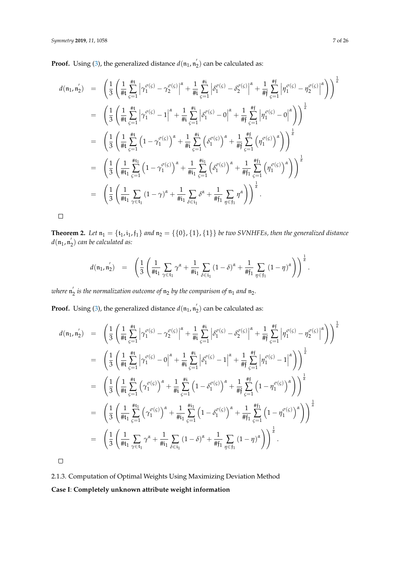**Proof.** Using [\(3\)](#page-5-0), the generalized distance  $d(\mathfrak{n}_1, \mathfrak{n}_2)$  can be calculated as:

$$
d(\mathfrak{n}_{1}, \mathfrak{n}'_{2}) = \left(\frac{1}{3} \left(\frac{1}{\#t} \sum_{\varsigma=1}^{\#t} \left| \gamma_{1}^{\sigma(\varsigma)} - \gamma_{2}^{\sigma(\varsigma)} \right|^{a} + \frac{1}{\#t} \sum_{\varsigma=1}^{\#t} \left| \delta_{1}^{\sigma(\varsigma)} - \delta_{2}^{\sigma(\varsigma)} \right|^{a} + \frac{1}{\#t} \sum_{\varsigma=1}^{\#t} \left| \eta_{1}^{\sigma(\varsigma)} - \eta_{2}^{\sigma(\varsigma)} \right|^{a} \right) \right)^{\frac{1}{a}}
$$
\n
$$
= \left(\frac{1}{3} \left(\frac{1}{\#t} \sum_{\varsigma=1}^{\#t} \left| \gamma_{1}^{\sigma(\varsigma)} - 1 \right|^{a} + \frac{1}{\#t} \sum_{\varsigma=1}^{\#t} \left| \delta_{1}^{\sigma(\varsigma)} - 0 \right|^{a} + \frac{1}{\#t} \sum_{\varsigma=1}^{\#t} \left| \eta_{1}^{\sigma(\varsigma)} - 0 \right|^{a} \right) \right)^{\frac{1}{a}}
$$
\n
$$
= \left(\frac{1}{3} \left(\frac{1}{\#t} \sum_{\varsigma=1}^{\#t} \left(1 - \gamma_{1}^{\sigma(\varsigma)}\right)^{a} + \frac{1}{\#t} \sum_{\varsigma=1}^{\#t} \left( \delta_{1}^{\sigma(\varsigma)} \right)^{a} + \frac{1}{\#t} \sum_{\varsigma=1}^{\#t} \left( \eta_{1}^{\sigma(\varsigma)} \right)^{a} \right) \right)^{\frac{1}{a}}
$$
\n
$$
= \left(\frac{1}{3} \left(\frac{1}{\#t_{1}} \sum_{\varsigma=1}^{\#t_{1}} \left(1 - \gamma_{1}^{\sigma(\varsigma)}\right)^{a} + \frac{1}{\#t_{1}} \sum_{\varsigma=1}^{\#t_{1}} \left( \delta_{1}^{\sigma(\varsigma)} \right)^{a} + \frac{1}{\#t_{1}} \sum_{\varsigma=1}^{\#t_{1}} \left( \eta_{1}^{\sigma(\varsigma)} \right)^{a} \right) \right)^{\frac{1}{a}}
$$
\n
$$
= \left(\frac
$$

 $\Box$ 

<span id="page-6-0"></span>**Theorem 2.** *Let*  $n_1 = \{t_1, i_1, f_1\}$  *and*  $n_2 = \{\{0\}, \{1\}, \{1\}\}$  *be two SVNHFEs, then the generalized distance*  $d(\mathfrak{n}_1, \mathfrak{n}_2')$  can be calculated as:

$$
d(\mathfrak{n}_1, \mathfrak{n}_2') \quad = \quad \left( \frac{1}{3} \left( \frac{1}{\# \mathfrak{t}_1} \sum_{\gamma \in \mathfrak{t}_1} \gamma^{\alpha} + \frac{1}{\# \mathfrak{i}_1} \sum_{\delta \in \mathfrak{i}_1} (1 - \delta)^{\alpha} + \frac{1}{\# \mathfrak{f}_1} \sum_{\eta \in \mathfrak{f}_1} (1 - \eta)^{\alpha} \right) \right)^{\frac{1}{\alpha}}.
$$

where  $\mathfrak{n}_2'$  is the normalization outcome of  $\mathfrak{n}_2$  by the comparison of  $\mathfrak{n}_1$  and  $\mathfrak{n}_2$ .

**Proof.** Using [\(3\)](#page-5-0), the generalized distance  $d(\mathfrak{n}_1, \mathfrak{n}_2)$  can be calculated as:

$$
d(\mathfrak{n}_{1}, \mathfrak{n}'_{2}) = \left(\frac{1}{3} \left(\frac{1}{\#t} \sum_{\varsigma=1}^{\#t} \left| \gamma_{1}^{\sigma(\varsigma)} - \gamma_{2}^{\sigma(\varsigma)} \right|^{a} + \frac{1}{\#t} \sum_{\varsigma=1}^{\#t} \left| \delta_{1}^{\sigma(\varsigma)} - \delta_{2}^{\sigma(\varsigma)} \right|^{a} + \frac{1}{\#t} \sum_{\varsigma=1}^{\#t} \left| \eta_{1}^{\sigma(\varsigma)} - \eta_{2}^{\sigma(\varsigma)} \right|^{a} \right) \right)^{\frac{1}{\alpha}}
$$
\n
$$
= \left(\frac{1}{3} \left(\frac{1}{\#t} \sum_{\varsigma=1}^{\#t} \left| \gamma_{1}^{\sigma(\varsigma)} - 0 \right|^{a} + \frac{1}{\#t} \sum_{\varsigma=1}^{\#t} \left| \delta_{1}^{\sigma(\varsigma)} - 1 \right|^{a} + \frac{1}{\#t} \sum_{\varsigma=1}^{\#t} \left| \eta_{1}^{\sigma(\varsigma)} - 1 \right|^{a} \right) \right)^{\frac{1}{\alpha}}
$$
\n
$$
= \left(\frac{1}{3} \left(\frac{1}{\#t} \sum_{\varsigma=1}^{\#t} \left( \gamma_{1}^{\sigma(\varsigma)} \right)^{a} + \frac{1}{\#t} \sum_{\varsigma=1}^{\#t} \left( 1 - \delta_{1}^{\sigma(\varsigma)} \right)^{a} + \frac{1}{\#t} \sum_{\varsigma=1}^{\#t} \left( 1 - \eta_{1}^{\sigma(\varsigma)} \right)^{a} \right) \right)^{\frac{1}{\alpha}}
$$
\n
$$
= \left(\frac{1}{3} \left(\frac{1}{\#t_{1}} \sum_{\varsigma=1}^{\#t_{1}} \left( \gamma_{1}^{\sigma(\varsigma)} \right)^{a} + \frac{1}{\#t_{1}} \sum_{\varsigma=1}^{\#t_{1}} \left( 1 - \delta_{1}^{\sigma(\varsigma)} \right)^{a} + \frac{1}{\#t_{1}} \sum_{\varsigma=1}^{\#t_{1}} \left( 1 - \eta_{1}^{\sigma(\varsigma)} \right)^{a} \right) \right)^{\frac{1}{\alpha}}
$$
\

 $\Box$ 

2.1.3. Computation of Optimal Weights Using Maximizing Deviation Method **Case I**: **Completely unknown attribute weight information**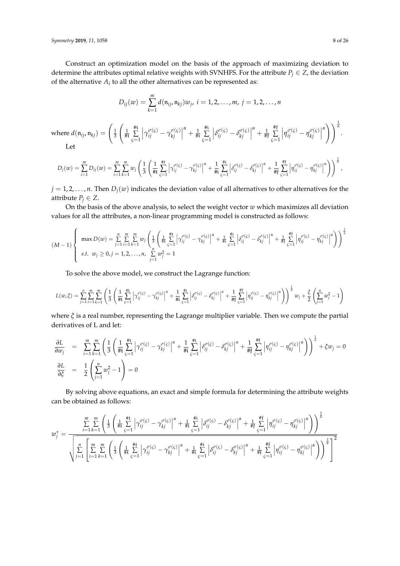Construct an optimization model on the basis of the approach of maximizing deviation to determine the attributes optimal relative weights with SVNHFS. For the attribute  $P_j \in Z$ , the deviation of the alternative  $A_i$  to all the other alternatives can be represented as:

$$
D_{ij}(w) = \sum_{k=1}^{m} d(\mathfrak{n}_{ij}, \mathfrak{n}_{kj}) w_j, i = 1, 2, ..., m, j = 1, 2, ..., n
$$

where  $d(\mathfrak{n}_{ij}, \mathfrak{n}_{kj}) = \left(\frac{1}{3}\right)$  $\left(\frac{1}{\# \mathfrak{t}}\right)$ #t ∑ *ς*=1  $\gamma_{ij}^{\sigma(\varsigma)} - \gamma_{kj}^{\sigma(\varsigma)}$ *kj*  $\frac{\alpha}{4}$  +  $\frac{1}{4i}$ #i ∑ *ς*=1  $\left| \delta_{ij}^{\sigma(\varsigma)} - \delta_{kj}^{\sigma(\varsigma)} \right|$  $\begin{bmatrix} \sigma(\zeta) \\ kj \end{bmatrix}$  $\alpha$ <sup>+</sup>  $\frac{1}{\# \mathfrak{f}}$ #f ∑ *ς*=1  $\left| \eta_{ij}^{\sigma(\varsigma)} - \eta_{kj}^{\sigma(\varsigma)} \right|$  $\begin{bmatrix} \sigma(\zeta) \\ kj \end{bmatrix}$ *α* |  $\frac{1}{a}$ . Let

$$
D_j(w) = \sum_{i=1}^m D_{ij}(w) = \sum_{i=1}^m \sum_{k=1}^m w_j \left( \frac{1}{3} \left( \frac{1}{\# \mathfrak{t}} \sum_{\varsigma=1}^{\# \mathfrak{t}} \left| \gamma_{ij}^{\sigma(\varsigma)} - \gamma_{kj}^{\sigma(\varsigma)} \right|^{\alpha} + \frac{1}{\# \mathfrak{t}} \sum_{\varsigma=1}^{\# \mathfrak{t}} \left| \delta_{ij}^{\sigma(\varsigma)} - \delta_{kj}^{\sigma(\varsigma)} \right|^{\alpha} + \frac{1}{\# \mathfrak{f}} \sum_{\varsigma=1}^{\# \mathfrak{f}} \left| \eta_{ij}^{\sigma(\varsigma)} - \eta_{kj}^{\sigma(\varsigma)} \right|^{\alpha} \right) \right)^{\frac{1}{\alpha}},
$$

 $j = 1, 2, \dots, n$ . Then  $D_j(w)$  indicates the deviation value of all alternatives to other alternatives for the attribute  $P_j \in Z$ .

On the basis of the above analysis, to select the weight vector *w* which maximizes all deviation values for all the attributes, a non-linear programming model is constructed as follows:

$$
(M-1)\begin{cases} \max D(w) = \sum_{j=1}^{n} \sum_{i=1}^{m} \sum_{k=1}^{m} w_{j} \left( \frac{1}{3} \left( \frac{1}{\#t} \sum_{\varsigma=1}^{ \#t} \left| \gamma_{ij}^{\sigma(\varsigma)} - \gamma_{kj}^{\sigma(\varsigma)} \right|^{ \alpha} + \frac{1}{\#i} \sum_{\varsigma=1}^{ \#t} \left| \delta_{ij}^{\sigma(\varsigma)} - \delta_{kj}^{\sigma(\varsigma)} \right|^{ \alpha} + \frac{1}{\#i} \sum_{\varsigma=1}^{ \#t} \left| \eta_{ij}^{\sigma(\varsigma)} - \eta_{kj}^{\sigma(\varsigma)} \right|^{ \alpha} \right) \right)^{\frac{1}{\alpha}} \\ s.t. \ w_{j} \geq 0, j = 1, 2, ..., n, \ \sum_{j=1}^{n} w_{j}^{2} = 1 \end{cases}
$$

To solve the above model, we construct the Lagrange function:

$$
L(w,\xi) = \sum_{j=1}^{n} \sum_{i=1}^{m} \sum_{k=1}^{m} \left( \frac{1}{3} \left( \frac{1}{\#t} \sum_{j=1}^{\#t} \left| \gamma_{ij}^{\sigma(j)} - \gamma_{kj}^{\sigma(j)} \right|^\alpha + \frac{1}{\#t} \sum_{j=1}^{\#t} \left| \delta_{ij}^{\sigma(j)} - \delta_{kj}^{\sigma(j)} \right|^\alpha + \frac{1}{\#t} \sum_{j=1}^{\#t} \left| \eta_{ij}^{\sigma(j)} - \eta_{kj}^{\sigma(j)} \right|^\alpha \right) \right)^{\frac{1}{\alpha}} w_j + \frac{\xi}{2} \left( \sum_{j=1}^{n} w_j^2 - 1 \right)
$$

where *ξ* is a real number, representing the Lagrange multiplier variable. Then we compute the partial derivatives of L and let:

$$
\frac{\partial L}{\partial w_j} = \sum_{i=1}^m \sum_{k=1}^m \left( \frac{1}{3} \left( \frac{1}{\#t} \sum_{g=1}^{\#t} \left| \gamma_{ij}^{\sigma(g)} - \gamma_{kj}^{\sigma(g)} \right|^{\alpha} + \frac{1}{\#t} \sum_{g=1}^{\#t} \left| \delta_{ij}^{\sigma(g)} - \delta_{kj}^{\sigma(g)} \right|^{\alpha} + \frac{1}{\#t} \sum_{g=1}^{\#t} \left| \eta_{ij}^{\sigma(g)} - \eta_{kj}^{\sigma(g)} \right|^{\alpha} \right) \right)^{\frac{1}{\alpha}} + \xi w_j = 0
$$
\n
$$
\frac{\partial L}{\partial \xi} = \frac{1}{2} \left( \sum_{j=1}^n w_j^2 - 1 \right) = 0
$$

By solving above equations, an exact and simple formula for determining the attribute weights can be obtained as follows:

$$
w_j^* = \frac{\sum\limits_{i=1}^m \sum\limits_{k=1}^m \left( \frac{1}{3} \left( \frac{1}{\#t} \sum\limits_{\varsigma=1}^{\#t} \left| \gamma_{ij}^{\sigma(\varsigma)} - \gamma_{kj}^{\sigma(\varsigma)} \right|^{\alpha} + \frac{1}{\#t} \sum\limits_{\varsigma=1}^{\#t} \left| \delta_{ij}^{\sigma(\varsigma)} - \delta_{kj}^{\sigma(\varsigma)} \right|^{\alpha} + \frac{1}{\#t} \sum\limits_{\varsigma=1}^{\#t} \left| \eta_{ij}^{\sigma(\varsigma)} - \eta_{kj}^{\sigma(\varsigma)} \right|^{\alpha} \right) \right)^{\frac{1}{\alpha}}}{\sqrt{\sum\limits_{j=1}^n \left[ \sum\limits_{i=1}^m \sum\limits_{k=1}^m \left( \frac{1}{3} \left( \frac{1}{\#t} \sum\limits_{\varsigma=1}^{\#t} \left| \gamma_{ij}^{\sigma(\varsigma)} - \gamma_{kj}^{\sigma(\varsigma)} \right|^{\alpha} + \frac{1}{\#t} \sum\limits_{\varsigma=1}^{\#t} \left| \delta_{ij}^{\sigma(\varsigma)} - \delta_{kj}^{\sigma(\varsigma)} \right|^{\alpha} + \frac{1}{\#t} \sum\limits_{\varsigma=1}^{\#t} \left| \eta_{ij}^{\sigma(\varsigma)} - \eta_{kj}^{\sigma(\varsigma)} \right|^{\alpha} \right) \right)^{\frac{1}{\alpha}}} \right]^2}
$$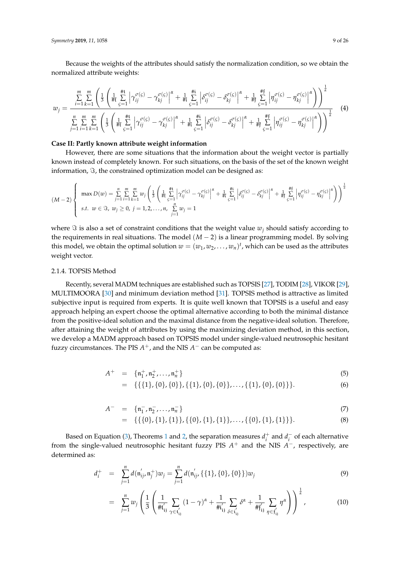Because the weights of the attributes should satisfy the normalization condition, so we obtain the normalized attribute weights:

<span id="page-8-0"></span>
$$
w_{j} = \frac{\sum\limits_{i=1}^{m} \sum\limits_{k=1}^{m} \left( \frac{1}{3} \left( \frac{1}{\#t} \sum\limits_{\zeta=1}^{\#t} \left| \gamma_{ij}^{\sigma(\zeta)} - \gamma_{kj}^{\sigma(\zeta)} \right|^{a} + \frac{1}{\#t} \sum\limits_{\zeta=1}^{\#t} \left| \delta_{ij}^{\sigma(\zeta)} - \delta_{kj}^{\sigma(\zeta)} \right|^{a} + \frac{1}{\#t} \sum\limits_{\zeta=1}^{\#t} \left| \eta_{ij}^{\sigma(\zeta)} - \eta_{kj}^{\sigma(\zeta)} \right|^{a} \right) \right)^{\frac{1}{\alpha}}}{\sum\limits_{j=1}^{n} \sum\limits_{i=1}^{m} \sum\limits_{k=1}^{m} \left( \frac{1}{3} \left( \frac{1}{\#t} \sum\limits_{\zeta=1}^{\#t} \left| \gamma_{ij}^{\sigma(\zeta)} - \gamma_{kj}^{\sigma(\zeta)} \right|^{a} + \frac{1}{\#t} \sum\limits_{\zeta=1}^{\#t} \left| \delta_{ij}^{\sigma(\zeta)} - \delta_{kj}^{\sigma(\zeta)} \right|^{a} + \frac{1}{\#t} \sum\limits_{\zeta=1}^{\#t} \left| \eta_{ij}^{\sigma(\zeta)} - \eta_{kj}^{\sigma(\zeta)} \right|^{a} \right) \right)^{\frac{1}{\alpha}}}
$$
(4)

# **Case II: Partly known attribute weight information**

However, there are some situations that the information about the weight vector is partially known instead of completely known. For such situations, on the basis of the set of the known weight information,  $\Im$ , the constrained optimization model can be designed as:

$$
(M-2)\left\{\max D(w) = \sum_{j=1}^{n} \sum_{i=1}^{m} \sum_{k=1}^{m} w_{j} \left( \frac{1}{3} \left( \frac{1}{\#t} \sum_{c=1}^{\#t} \left| \gamma_{ij}^{\sigma(c)} - \gamma_{kj}^{\sigma(c)} \right|^{a} + \frac{1}{\#t} \sum_{c=1}^{\#t} \left| \delta_{ij}^{\sigma(c)} - \delta_{kj}^{\sigma(c)} \right|^{a} + \frac{1}{\#t} \sum_{c=1}^{\#t} \left| \eta_{ij}^{\sigma(c)} - \eta_{kj}^{\sigma(c)} \right|^{a} \right) \right)^{\frac{1}{\alpha}}
$$
  
s.t.  $w \in \Im$ ,  $w_{j} \ge 0$ ,  $j = 1, 2, ..., n$ ,  $\sum_{j=1}^{n} w_{j} = 1$ 

where  $\Im$  is also a set of constraint conditions that the weight value  $w_i$  should satisfy according to the requirements in real situations. The model  $(M - 2)$  is a linear programming model. By solving this model, we obtain the optimal solution  $w = (w_1, w_2, \ldots, w_n)^t$ , which can be used as the attributes weight vector.

#### 2.1.4. TOPSIS Method

Recently, several MADM techniques are established such as TOPSIS [\[27\]](#page-25-7), TODIM [\[28\]](#page-25-8), VIKOR [\[29\]](#page-25-9), MULTIMOORA [\[30\]](#page-25-10) and minimum deviation method [\[31\]](#page-25-11). TOPSIS method is attractive as limited subjective input is required from experts. It is quite well known that TOPSIS is a useful and easy approach helping an expert choose the optimal alternative according to both the minimal distance from the positive-ideal solution and the maximal distance from the negative-ideal solution. Therefore, after attaining the weight of attributes by using the maximizing deviation method, in this section, we develop a MADM approach based on TOPSIS model under single-valued neutrosophic hesitant fuzzy circumstances. The PIS  $A^+$ , and the NIS  $A^-$  can be computed as:

<span id="page-8-1"></span>
$$
A^{+} = \{n_{1}^{+}, n_{2}^{+}, \ldots, n_{n}^{+}\}\tag{5}
$$

 $= \{ \{\{1\}, \{0\}, \{0\}\}, \{\{1\}, \{0\}, \{0\}\}, \ldots, \{\{1\}, \{0\}, \{0\}\} \}.$  (6)

<span id="page-8-2"></span>
$$
A^{-} = \{n_1^{-}, n_2^{-}, \ldots, n_n^{-}\}\tag{7}
$$

$$
= \{ \{\{0\}, \{1\}, \{1\}\}, \{\{0\}, \{1\}, \{1\}\}, \ldots, \{\{0\}, \{1\}, \{1\}\} \}.
$$
 (8)

Based on Equation [\(3\)](#page-5-0), Theorems [1](#page-5-1) and [2,](#page-6-0) the separation measures  $d_i^+$  and  $d_i^-$  of each alternative from the single-valued neutrosophic hesitant fuzzy PIS  $A^+$  and the NIS  $A^-$ , respectively, are determined as:

<span id="page-8-3"></span>
$$
d_i^+ = \sum_{j=1}^n d(\mathbf{n}_{ij}', \mathbf{n}_j^+) w_j = \sum_{j=1}^n d(\mathbf{n}_{ij}', \{\{1\}, \{0\}, \{0\}\}) w_j
$$
(9)

$$
= \sum_{j=1}^{n} w_j \left( \frac{1}{3} \left( \frac{1}{\#t'_{ij}} \sum_{\gamma \in t'_{ij}} (1 - \gamma)^{\alpha} + \frac{1}{\#t'_{ij}} \sum_{\delta \in t'_{ij}} \delta^{\alpha} + \frac{1}{\#t'_{ij}} \sum_{\eta \in t'_{ij}} \eta^{\alpha} \right) \right)^{\frac{1}{\alpha}}, \tag{10}
$$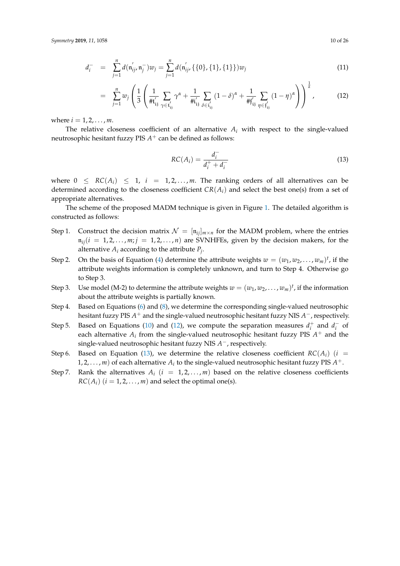<span id="page-9-0"></span>
$$
d_i^- = \sum_{j=1}^n d(\mathbf{n}_{ij}', \mathbf{n}_j^-) w_j = \sum_{j=1}^n d(\mathbf{n}_{ij}', \{\{0\}, \{1\}, \{1\}\}) w_j
$$
(11)

$$
= \sum_{j=1}^{n} w_j \left( \frac{1}{3} \left( \frac{1}{\#t'_{ij}} \sum_{\gamma \in t'_{ij}} \gamma^{\alpha} + \frac{1}{\#t'_{ij}} \sum_{\delta \in t'_{ij}} (1-\delta)^{\alpha} + \frac{1}{\#t'_{ij}} \sum_{\eta \in t'_{ij}} (1-\eta)^{\alpha} \right) \right)^{\frac{1}{\alpha}}, \quad (12)
$$

where  $i = 1, 2, ..., m$ .

The relative closeness coefficient of an alternative  $A_i$  with respect to the single-valued neutrosophic hesitant fuzzy PIS  $A^+$  can be defined as follows:

<span id="page-9-1"></span>
$$
RC(A_i) = \frac{d_i^-}{d_i^+ + d_i^-}
$$
 (13)

where  $0 \leq RC(A_i) \leq 1$ ,  $i = 1, 2, ..., m$ . The ranking orders of all alternatives can be determined according to the closeness coefficient  $CR(A_i)$  and select the best one(s) from a set of appropriate alternatives.

The scheme of the proposed MADM technique is given in Figure [1.](#page-10-0) The detailed algorithm is constructed as follows:

- Step 1. Construct the decision matrix  $\mathcal{N} = [\mathfrak{n}_{ii}]_{m \times n}$  for the MADM problem, where the entries  $n_{ij}$ ( $i = 1, 2, \ldots, m; j = 1, 2, \ldots, n$ ) are SVNHFEs, given by the decision makers, for the alternative *A<sup>i</sup>* according to the attribute *P<sup>j</sup>* .
- Step 2. On the basis of Equation [\(4\)](#page-8-0) determine the attribute weights  $w = (w_1, w_2, \ldots, w_m)^t$ , if the attribute weights information is completely unknown, and turn to Step 4. Otherwise go to Step 3.
- Step 3. Use model (M-2) to determine the attribute weights  $w = (w_1, w_2, \ldots, w_m)^t$ , if the information about the attribute weights is partially known.
- Step 4. Based on Equations [\(6\)](#page-8-1) and [\(8\)](#page-8-2), we determine the corresponding single-valued neutrosophic hesitant fuzzy PIS *A* <sup>+</sup> and the single-valued neutrosophic hesitant fuzzy NIS *A* −, respectively.
- Step 5. Based on Equations [\(10\)](#page-8-3) and [\(12\)](#page-9-0), we compute the separation measures  $d_i^+$  and  $d_i^-$  of each alternative  $A_i$  from the single-valued neutrosophic hesitant fuzzy PIS  $A^+$  and the single-valued neutrosophic hesitant fuzzy NIS *A* −, respectively.
- Step 6. Based on Equation [\(13\)](#page-9-1), we determine the relative closeness coefficient  $RC(A_i)$  (*i* =  $1, 2, \ldots, m$  of each alternative  $A_i$  to the single-valued neutrosophic hesitant fuzzy PIS  $A^+$ .
- Step 7. Rank the alternatives  $A_i$  ( $i = 1, 2, \ldots, m$ ) based on the relative closeness coefficients  $RC(A_i)$  ( $i = 1, 2, ..., m$ ) and select the optimal one(s).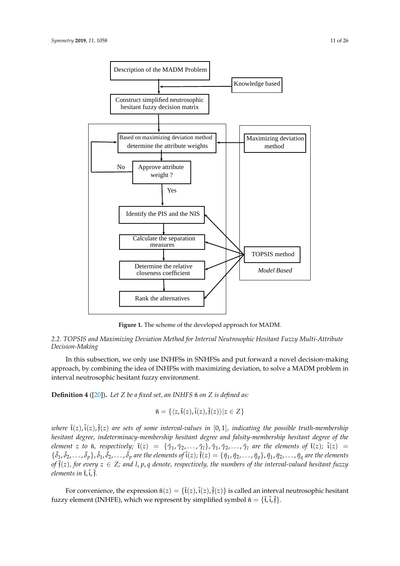<span id="page-10-0"></span>

Figure 1: The scheme of the developed approach for MADM. **Figure 1.** The scheme of the developed approach for MADM.

### *2.2. TOPSIS and Maximizing Deviation Method for Interval Neutrosophic Hesitant Fuzzy Multi-Attribute Decision-Making*

In this subsection, we only use INHFSs in SNHFSs and put forward a novel decision-making 254 multi-attribute decision-making<br>approach, by combining the idea of INHFSs with maximizing deviation, to solve a MADM problem in interval neutrosophic hesitant fuzzy environment.

 $\mathbf{D}$ <sup>2</sup> by combining the idea of Indian maximizing  $\mathcal{I}$  is defined and  $\mathcal{I}$ **Definition 4** ([\[20\]](#page-25-0)). Let *Z* be a fixed set, an INHFS  $\tilde{\mathfrak{n}}$  on *Z* is defined as:

$$
\tilde{\mathfrak{n}}=\{\langle z,\tilde{\mathfrak{t}}(z),\tilde{\mathfrak{i}}(z),\tilde{\mathfrak{f}}(z)\rangle|z\in Z\}
$$

*onere ((2), ((2), ((2), are sets of some interout-outues in {0, 1}, indicuting the possible truin-membership*<br>hesitant degree, indeterminacy-membership hesitant degree and falsity-membership hesitant degree of the  $\frac{e}{\sqrt{2}}$ element 2 to  $\mathfrak{n}$ , respectively;  $\mathfrak{t}(2) = \{ \gamma_1, \gamma_2, ..., \gamma_l \}$ ,  $\gamma_1, \gamma_2, ..., \gamma_l$  are the elements of  $\tilde{\mathfrak{t}}(z)$ ;  $\mathfrak{t}(z) =$ <br> $\{ \tilde{\mathfrak{h}}_1, \tilde{\mathfrak{h}}_2, ..., \tilde{\mathfrak{h}}_q \}$ ,  $\tilde{\mathfrak{h}}_1, \tilde{\mathfrak{h}}_2, ..., \tilde{\mathfrak{h}}$  $25$  here  $25$  here and  $1 \leq n$  and  $1 \leq n$  and  $2 \leq n$  and falsitant degree and falsity-members of the interval-valued hesitant fuzzu of  $\tilde{\mathfrak{f}}(z)$ , for every  $z\in Z$ ; and l, p, q denote, respectively, the numbers of the interval-valued hesitant fuzzy<br>elements in  $\tilde{\mathfrak{t}},\tilde{\mathfrak{f}}.$ ˜δ2, . . . ,  $\overline{\phantom{a}}$  $\sum_{i=1}^{n}$ ˜δ<sup>p</sup> are the elements of ˜i(z); ˜ <sup>261</sup> <sup>f</sup>(z) = {η˜1, <sup>η</sup>˜2, . . . , <sup>η</sup>˜q}, <sup>η</sup>˜1, <sup>η</sup>˜2, . . . , <sup>η</sup>˜<sup>q</sup> are the elements where  $\tilde{\mathfrak{t}}(z)$ ,  $\tilde{\mathfrak{t}}(z)$ ,  $\tilde{\mathfrak{f}}(z)$  are sets of some interval-values in  $[0,1]$ , indicating the possible truth-membership element z to  $\tilde{\mathfrak{n}}$ , respectively;  $\tilde{\mathfrak{t}}(z) = {\tilde{\gamma}_1, \tilde{\gamma}_2, ..., \tilde{\gamma}_l}, \tilde{\gamma}_1, \tilde{\gamma}_2, ..., \tilde{\gamma}_l$  are the elements of  $\tilde{\mathfrak{t}}(z)$ ;  $\tilde{\mathfrak{i}}(z) =$ elements in  $\tilde{\mathfrak{t}}$ ,  $\tilde{\mathfrak{t}}$ ,  $\tilde{\mathfrak{f}}$ .

For convenience, the expression  $\tilde{\mathfrak{n}}(z) = {\tilde{\mathfrak{t}}(z), \tilde{\mathfrak{t}}(z), \tilde{\mathfrak{t}}(z)}$  is called an interval neutrosophic hesitant fuzzy element (INHFE), which we represent by simplified symbol  $\tilde{\mathfrak{n}} = \{\tilde{\mathfrak{t}}, \tilde{\mathfrak{t}}, \tilde{\mathfrak{f}}\}.$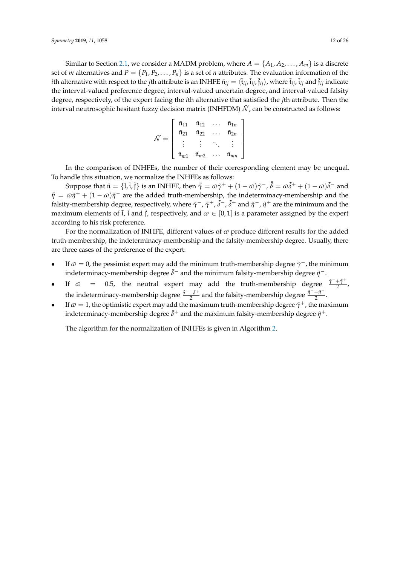Similar to Section [2.1,](#page-2-1) we consider a MADM problem, where  $A = \{A_1, A_2, \ldots, A_m\}$  is a discrete set of *m* alternatives and  $P = \{P_1, P_2, \ldots, P_n\}$  is a set of *n* attributes. The evaluation information of the *i*th alternative with respect to the *j*th attribute is an INHFE  $\tilde{\mathfrak{n}}_{ij}=\langle\tilde{\mathfrak{t}}_{ij},\tilde{\mathfrak{t}}_{ij},\tilde{\mathfrak{f}}_{ij}\rangle$ , where  $\tilde{\mathfrak{t}}_{ij}$  and  $\tilde{\mathfrak{f}}_{ij}$  indicate the interval-valued preference degree, interval-valued uncertain degree, and interval-valued falsity degree, respectively, of the expert facing the *i*th alternative that satisfied the *j*th attribute. Then the interval neutrosophic hesitant fuzzy decision matrix (INHFDM)  $\tilde{N}$ , can be constructed as follows:

$$
\tilde{\mathcal{N}} = \left[ \begin{array}{cccc} \tilde{\mathfrak{n}}_{11} & \tilde{\mathfrak{n}}_{12} & \dots & \tilde{\mathfrak{n}}_{1n} \\ \tilde{\mathfrak{n}}_{21} & \tilde{\mathfrak{n}}_{22} & \dots & \tilde{\mathfrak{n}}_{2n} \\ \vdots & \vdots & \ddots & \vdots \\ \tilde{\mathfrak{n}}_{m1} & \tilde{\mathfrak{n}}_{m2} & \dots & \tilde{\mathfrak{n}}_{mn} \end{array} \right]
$$

In the comparison of INHFEs, the number of their corresponding element may be unequal. To handle this situation, we normalize the INHFEs as follows:

Suppose that  $\tilde{\mathfrak{n}} = \{\tilde{\mathfrak{t}}, \tilde{\mathfrak{t}}, \tilde{\mathfrak{f}}\}$  is an INHFE, then  $\bar{\tilde{\gamma}} = \omega \tilde{\gamma}^+ + (1 - \omega) \tilde{\gamma}^-$ ,  $\bar{\tilde{\delta}} = \omega \tilde{\delta}^+ + (1 - \omega) \tilde{\delta}^-$  and  $\bar{\eta} = \omega \tilde{\eta}^+ + (1 - \omega)\tilde{\eta}^-$  are the added truth-membership, the indeterminacy-membership and the falsity-membership degree, respectively, where  $\tilde\gamma^-$ ,  $\tilde\gamma^+$ ,  $\tilde\delta^-$ ,  $\tilde\delta^+$  and  $\tilde\eta^-$ ,  $\tilde\eta^+$  are the minimum and the maximum elements of  $\tilde{t}$ ,  $\tilde{i}$  and  $\tilde{f}$ , respectively, and  $\omega \in [0,1]$  is a parameter assigned by the expert according to his risk preference.

For the normalization of INHFE, different values of  $\varpi$  produce different results for the added truth-membership, the indeterminacy-membership and the falsity-membership degree. Usually, there are three cases of the preference of the expert:

- If  $\varpi = 0$ , the pessimist expert may add the minimum truth-membership degree  $\tilde{\gamma}^-$ , the minimum indeterminacy-membership degree  $\tilde{\delta}^-$  and the minimum falsity-membership degree  $\tilde{\eta}^-$ .
- If  $\varpi = 0.5$ , the neutral expert may add the truth-membership degree  $\frac{\tilde{\gamma}^2 + \tilde{\gamma}^4}{2}$  $\frac{+1}{2}$ , the indeterminacy-membership degree  $\frac{\tilde{\delta}^- + \tilde{\delta}^+}{2}$  $\frac{+\tilde{\delta}^{+}}{2}$  and the falsity-membership degree  $\frac{\tilde{\eta}^{-}+\tilde{\eta}^{+}}{2}$  $rac{+1}{2}$ .
- If  $\omega = 1$ , the optimistic expert may add the maximum truth-membership degree  $\tilde{\gamma}^+$ , the maximum indeterminacy-membership degree  $\tilde{\delta}^+$  and the maximum falsity-membership degree  $\tilde{\eta}^+$ .

The algorithm for the normalization of INHFEs is given in Algorithm [2.](#page-12-0)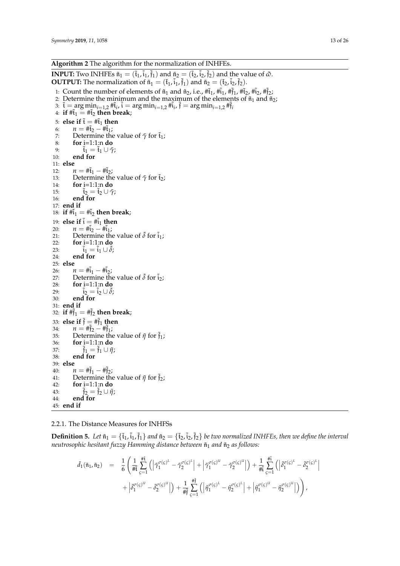<span id="page-12-0"></span>**INPUT:** Two INHFEs  $\tilde{n}_1 = (\tilde{t}_1, \tilde{i}_1, \tilde{f}_1)$  and  $\tilde{n}_2 = (\tilde{t}_2, \tilde{i}_2, \tilde{f}_2)$  and the value of  $\tilde{\omega}$ . **OUTPUT:** The normalization of  $\tilde{n}_1 = (\tilde{t}_1, \tilde{i}_1, \tilde{t}_1)$  and  $\tilde{n}_2 = (\tilde{t}_2, \tilde{i}_2, \tilde{t}_2)$ .

- 1: Count the number of elements of  $\tilde{n}_1$  and  $\tilde{n}_2$ , i.e.,  $\#\tilde{t}_1$ ,  $\#\tilde{t}_1$ ,  $\#\tilde{t}_2$ ,  $\#\tilde{t}_2$ ,  $\#\tilde{t}_2$ ;
- 2: Determine the minimum and the maximum of the elements of  $\tilde{n}_1$  and  $\tilde{n}_2$ ;
- 3:  $\tilde{\mathfrak{t}} = \arg \min_{i=1,2} \# \tilde{\mathfrak{t}}_i$ ,  $\tilde{\mathfrak{t}} = \arg \min_{i=1,2} \# \tilde{\mathfrak{t}}_i$ ,  $\tilde{\mathfrak{f}} = \arg \min_{i=1,2} \# \tilde{\mathfrak{f}}_i$

```
4: if #i_1 \stackrel{\sim}{=} #i_2 then break;
 5: else if \tilde{t} = #\tilde{t}_1 then<br>6: n = #\tilde{t}_2 - #\tilde{t}_1;
 6: n = #\tilde{t}_2 - #\tilde{t}_1;<br>7: Determine the
 7: Determine the value of \tilde{\gamma} for \tilde{t}_1;<br>8: for i=1:1:n do
 8: for i=1:1:n do<br>9: \tilde{f}_1 = \tilde{f}_1 \cup \tilde{\gamma}9: \tilde{\mathfrak{t}}_1 = \tilde{\mathfrak{t}}_1 \cup \tilde{\gamma};<br>10: end for
               end for
11: else
12: n = #\tilde{t}_1 - #\tilde{t}_2;<br>13: Determine the
13: Determine the value of \tilde{\gamma} for \tilde{t}_2;<br>14: for i=1:1:n do
                for i=1:1:n do15: \tilde{t}_2 = \tilde{t}_2 \cup \tilde{\gamma};<br>16: end for
               end for
17: end if
18: if \sharp \tilde{t}_1 = \sharp \tilde{t}_2 then break;
19: else if \tilde{i} = #\tilde{i}_1 then<br>20: n = #\tilde{i}_2 - #\tilde{i}_1;
20: n = #\tilde{i}_2 - #\tilde{i}_1;<br>21: Determine the
21: Determine the value of \delta for \tilde{i}_1;<br>22: for i=1:1:n do
                22: for i=1:1:n do
23: i_1 = i_1 \cup \delta;<br>24: end for
               end for
25: else
26: n = #\tilde{i}_1 - #\tilde{i}_2;<br>27: Determine the
27: Determine the value of \delta for \tilde{i}_2;<br>28: for i=1:1:n do
               28: for i=1:1:n do
29: \mathbf{i}_2 = \mathbf{i}_2 \cup \delta;<br>30: end for
               30: end for
31: end if
32: if #\tilde{f}_1 = # \tilde{f}_2 then break;
33: else if \tilde{\mathfrak{f}} = #\tilde{\mathfrak{f}}_1 then<br>34: n = #\tilde{\mathfrak{f}}_2 - #\tilde{\mathfrak{f}}_1:
34: n = #\tilde{f}_2 - #\tilde{f}_1;<br>35: Determine the
35: Determine the value of \tilde{\eta} for \tilde{\tilde{f}}_1;<br>36: for i=1:1:n do
36: for i=1:1:n do<br>37: \tilde{f}_1 = \tilde{f}_1 \cup \tilde{n}37: \tilde{f}_1 = \tilde{f}_1 \cup \tilde{\eta};<br>38: end for
               end for
39: else
40: n = #\tilde{f}_1 - #\tilde{f}_2;<br>41: Determine the
41: Determine the value of \tilde{\eta} for \tilde{f}_2;<br>42: for i=1:1:n do
               42: for i=1:1:n do
43: \hat{f}_2 = \hat{f}_2 \cup \hat{\eta};<br>44: end for
               end for
45: end if
```
2.2.1. The Distance Measures for INHFSs

**Definition 5.** Let  $\tilde{\mathfrak{n}}_1 = {\tilde{\mathfrak{t}}_1, \tilde{\mathfrak{i}}_1, \tilde{\mathfrak{f}}_1}$  and  $\tilde{\mathfrak{n}}_2 = {\tilde{\mathfrak{t}}_2, \tilde{\mathfrak{i}}_2, \tilde{\mathfrak{f}}_2}$  be two normalized INHFEs, then we define the interval *neutrosophic hesitant fuzzy Hamming distance between*  $\tilde{n}_1$  *and*  $\tilde{n}_2$  *as follows:* 

$$
\tilde{d}_1(\tilde{\mathfrak{n}}_1, \tilde{\mathfrak{n}}_2) = \frac{1}{6} \left( \frac{1}{\# \tilde{t}} \sum_{\varsigma=1}^{\# \tilde{t}} \left( \left| \tilde{\gamma}_1^{\sigma(\varsigma)^L} - \tilde{\gamma}_2^{\sigma(\varsigma)^L} \right| + \left| \tilde{\gamma}_1^{\sigma(\varsigma)^U} - \tilde{\gamma}_2^{\sigma(\varsigma)^U} \right| \right) + \frac{1}{\# \tilde{t}} \sum_{\varsigma=1}^{\# \tilde{t}} \left( \left| \tilde{\delta}_1^{\sigma(\varsigma)^L} - \tilde{\delta}_2^{\sigma(\varsigma)^L} \right| + \left| \tilde{\delta}_1^{\sigma(\varsigma)^U} - \tilde{\delta}_2^{\sigma(\varsigma)^U} \right| \right) + \frac{1}{\# \tilde{t}} \sum_{\varsigma=1}^{\# \tilde{t}} \left( \left| \tilde{\eta}_1^{\sigma(\varsigma)^L} - \tilde{\eta}_2^{\sigma(\varsigma)^L} \right| + \left| \tilde{\eta}_1^{\sigma(\varsigma)^U} - \tilde{\eta}_2^{\sigma(\varsigma)^U} \right| \right) \right),
$$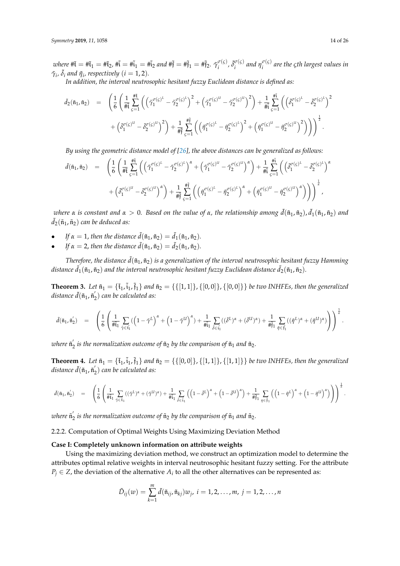$where \ \#\tilde{\mathfrak{t}} = \#\tilde{\mathfrak{t}}_1 = \#\tilde{\mathfrak{t}}_2$ ,  $\#\tilde{\mathfrak{t}} = \#\tilde{\mathfrak{t}}_1 = \#\tilde{\mathfrak{t}}_2$  and  $\#\tilde{\mathfrak{f}} = \#\tilde{\mathfrak{f}}_1 = \#\tilde{\mathfrak{f}}_2$ .  $\tilde{\gamma}_i^{\sigma(\varsigma)}$  $\tilde{\delta}_i^{\sigma(\varsigma)}$ ,  $\tilde{\delta}_i^{\sigma(\varsigma)}$  $\int_i^{\sigma(\varsigma)}$  and  $\eta_i^{\sigma(\varsigma)}$ *i are the ςth largest values in*  $\tilde{\gamma}_i$ ,  $\tilde{\delta}_i$  and  $\tilde{\eta}_i$ , respectively  $(i = 1, 2)$ .

*In addition, the interval neutrosophic hesitant fuzzy Euclidean distance is defined as:*

$$
\begin{array}{lll} \tilde{d}_2(\tilde{\mathfrak{n}}_1,\tilde{\mathfrak{n}}_2) & = & \displaystyle \left(\frac{1}{6}\left(\frac{1}{\# \tilde{\mathfrak{t}}}\sum_{\varsigma=1}^{\# \tilde{\mathfrak{t}}} \left(\left(\tilde{\gamma}_1^{\sigma(\varsigma)^L}-\tilde{\gamma}_2^{\sigma(\varsigma)^L}\right)^2+\left(\tilde{\gamma}_1^{\sigma(\varsigma)^U}-\tilde{\gamma}_2^{\sigma(\varsigma)^U}\right)^2\right)+\frac{1}{\# \tilde{\mathfrak{t}}}\sum_{\varsigma=1}^{\# \tilde{\mathfrak{t}}} \left(\left(\tilde{\delta}_1^{\sigma(\varsigma)^L}-\tilde{\delta}_2^{\sigma(\varsigma)^L}\right)^2\right.\right.\\ & & \displaystyle \left.+\left(\tilde{\delta}_1^{\sigma(\varsigma)^U}-\tilde{\delta}_2^{\sigma(\varsigma)^U}\right)^2\right)+\frac{1}{\# \tilde{\mathfrak{f}}}\sum_{\varsigma=1}^{\# \tilde{\mathfrak{f}}} \left(\left(\tilde{\eta}_1^{\sigma(\varsigma)^L}-\tilde{\eta}_2^{\sigma(\varsigma)^L}\right)^2+\left(\tilde{\eta}_1^{\sigma(\varsigma)^U}-\tilde{\eta}_2^{\sigma(\varsigma)^U}\right)^2\right)\right)\right)^\frac{1}{2}. \end{array}
$$

*By using the geometric distance model of [\[26\]](#page-25-6), the above distances can be generalized as follows:*

$$
\tilde{d}(\tilde{\mathfrak{n}}_1, \tilde{\mathfrak{n}}_2) = \left( \frac{1}{6} \left( \frac{1}{\# \tilde{t}} \sum_{\varsigma=1}^{\# \tilde{t}} \left( \left( \tilde{\gamma}_1^{\sigma(\varsigma)^L} - \tilde{\gamma}_2^{\sigma(\varsigma)^L} \right)^{\alpha} + \left( \tilde{\gamma}_1^{\sigma(\varsigma)^U} - \tilde{\gamma}_2^{\sigma(\varsigma)^U} \right)^{\alpha} \right) + \frac{1}{\# \tilde{t}} \sum_{\varsigma=1}^{\# \tilde{t}} \left( \left( \tilde{\delta}_1^{\sigma(\varsigma)^L} - \tilde{\delta}_2^{\sigma(\varsigma)^L} \right)^{\alpha} + \left( \tilde{\delta}_1^{\sigma(\varsigma)^U} - \tilde{\delta}_2^{\sigma(\varsigma)^U} \right)^{\alpha} \right) + \frac{1}{\# \tilde{t}} \sum_{\varsigma=1}^{\# \tilde{t}} \left( \left( \tilde{\eta}_1^{\sigma(\varsigma)^L} - \tilde{\eta}_2^{\sigma(\varsigma)^L} \right)^{\alpha} + \left( \tilde{\eta}_1^{\sigma(\varsigma)^U} - \tilde{\eta}_2^{\sigma(\varsigma)^U} \right)^{\alpha} \right) \right)^{\frac{1}{\alpha}},
$$

 $\omega$  *kere*  $\alpha$  *is constant and*  $\alpha > 0$ *. Based on the value of*  $\alpha$ *, the relationship among*  $\tilde{d}(\tilde{\frak{n}}_1,\tilde{\frak{n}}_2)$ *,*  $\tilde{d}_1(\tilde{\frak{n}}_1,\tilde{\frak{n}}_2)$  *and*  $\tilde{d}_2(\tilde{\mathfrak{n}}_1, \tilde{\mathfrak{n}}_2)$  *can be deduced as:* 

- *If*  $\alpha = 1$ , *then the distance*  $\tilde{d}(\tilde{n}_1, \tilde{n}_2) = \tilde{d}_1(\tilde{n}_1, \tilde{n}_2)$ *.*
- *If*  $\alpha = 2$ , *then the distance*  $\tilde{d}(\tilde{n}_1, \tilde{n}_2) = \tilde{d}_2(\tilde{n}_1, \tilde{n}_2)$ *.*

*Therefore, the distance*  $\tilde{d}(\tilde{n}_1, \tilde{n}_2)$  *is a generalization of the interval neutrosophic hesitant fuzzy Hamming distance*  $\tilde{d}_1(\tilde{\mathfrak{n}}_1, \tilde{\mathfrak{n}}_2)$  *and the interval neutrosophic hesitant fuzzy Euclidean distance*  $\tilde{d}_2(\tilde{\mathfrak{n}}_1, \tilde{\mathfrak{n}}_2)$ *.* 

<span id="page-13-0"></span>**Theorem 3.** Let  $\tilde{n}_1 = {\{\tilde{t}_1, \tilde{i}_1, \tilde{j}_1\}}$  and  $\tilde{n}_2 = {\{\{[1, 1]\}, \{[0, 0]\}, \{[0, 0]\}\}}$  be two INHFEs, then the generalized  $distance\ d(\tilde{\mathfrak{n}}_1, \tilde{\mathfrak{n}}_2')$  *can be calculated as:* 

$$
\tilde{d}(\tilde{\mathfrak{n}}_1, \tilde{\mathfrak{n}}_2') \quad = \quad \left( \frac{1}{6} \left( \frac{1}{\# \tilde{\mathfrak{t}}_1} \sum_{\tilde{\gamma} \in \tilde{\mathfrak{t}}_1} \left( \left( 1 - \tilde{\gamma}^L \right)^{\alpha} + \left( 1 - \tilde{\gamma}^U \right)^{\alpha} \right) + \frac{1}{\# \tilde{\mathfrak{t}}_1} \sum_{\tilde{\delta} \in \tilde{\mathfrak{t}}_1} \left( (\tilde{\delta}^L)^{\alpha} + (\tilde{\delta}^U)^{\alpha} \right) + \frac{1}{\# \tilde{\mathfrak{f}}_1} \sum_{\tilde{\eta} \in \tilde{\mathfrak{f}}_1} \left( (\tilde{\eta}^L)^{\alpha} + (\tilde{\eta}^U)^{\alpha} \right) \right) \right)^{\frac{1}{\alpha}}.
$$

where  $\tilde{\mathfrak{n}}_2$  is the normalization outcome of  $\tilde{\mathfrak{n}}_2$  by the comparison of  $\tilde{\mathfrak{n}}_1$  and  $\tilde{\mathfrak{n}}_2$ .

<span id="page-13-1"></span>**Theorem 4.** Let  $\tilde{n}_1 = {\tilde{t}_1, \tilde{i}_1, \tilde{j}_1}$  and  $\tilde{n}_2 = {\{[0,0]\}, \{[1,1]\}, \{[1,1]\}\}$  be two INHFEs, then the generalized  $distance\ d(\tilde{\mathfrak{n}}_1, \tilde{\mathfrak{n}}_2')$  *can be calculated as:* 

$$
\tilde{d}(\tilde{\mathfrak{n}}_1, \tilde{\mathfrak{n}}_2') \quad = \quad \left( \frac{1}{6} \left( \frac{1}{\# \tilde{\mathfrak{t}}_1} \sum_{\tilde{\gamma} \in \tilde{\mathfrak{t}}_1} ((\tilde{\gamma}^L)^\alpha + (\tilde{\gamma}^U)^\alpha) + \frac{1}{\# \tilde{\mathfrak{t}}_1} \sum_{\tilde{\delta} \in \tilde{\mathfrak{t}}_1} \left( \left( 1 - \tilde{\delta}^L \right)^\alpha + \left( 1 - \tilde{\delta}^U \right)^\alpha \right) + \frac{1}{\# \tilde{\mathfrak{f}}_1} \sum_{\eta \in \tilde{\mathfrak{f}}_1} \left( \left( 1 - \tilde{\eta}^L \right)^\alpha + \left( 1 - \tilde{\eta}^U \right)^\alpha \right) \right) \right)^\frac{1}{\alpha}.
$$

where  $\tilde{\mathfrak{n}}_2$  is the normalization outcome of  $\tilde{\mathfrak{n}}_2$  by the comparison of  $\tilde{\mathfrak{n}}_1$  and  $\tilde{\mathfrak{n}}_2$ .

2.2.2. Computation of Optimal Weights Using Maximizing Deviation Method

# **Case I: Completely unknown information on attribute weights**

Using the maximizing deviation method, we construct an optimization model to determine the attributes optimal relative weights in interval neutrosophic hesitant fuzzy setting. For the attribute  $P_j \in \mathbb{Z}$ , the deviation of the alternative  $A_i$  to all the other alternatives can be represented as:

$$
\tilde{D}_{ij}(w) = \sum_{k=1}^m \tilde{d}(\tilde{\mathfrak{n}}_{ij}, \tilde{\mathfrak{n}}_{kj}) w_j, i = 1, 2, \ldots, m, j = 1, 2, \ldots, n
$$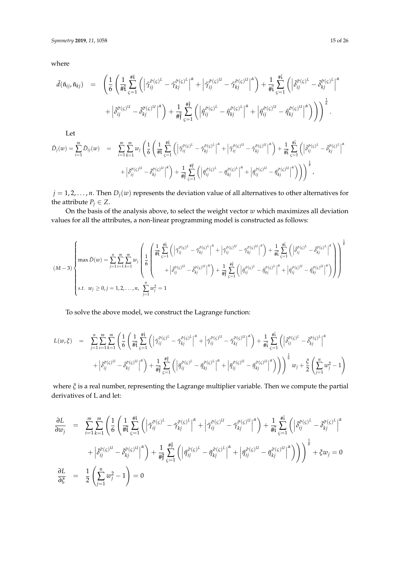where

$$
\tilde{d}(\tilde{\mathfrak{n}}_{ij}, \tilde{\mathfrak{n}}_{kj}) = \left( \frac{1}{6} \left( \frac{1}{\# \tilde{t}} \sum_{\varsigma=1}^{\# \tilde{t}} \left( \left| \tilde{\gamma}_{ij}^{\tilde{\sigma}(\varsigma)^{L}} - \tilde{\gamma}_{kj}^{\tilde{\sigma}(\varsigma)^{L}} \right|^{a} + \left| \tilde{\gamma}_{ij}^{\tilde{\sigma}(\varsigma)^{U}} - \tilde{\gamma}_{kj}^{\tilde{\sigma}(\varsigma)^{U}} \right|^{a} \right) + \frac{1}{\# \tilde{t}} \sum_{\varsigma=1}^{\# \tilde{t}} \left( \left| \tilde{\delta}_{ij}^{\tilde{\sigma}(\varsigma)^{L}} - \tilde{\delta}_{kj}^{\tilde{\sigma}(\varsigma)^{L}} \right|^{a} \right) + \left| \tilde{\delta}_{ij}^{\tilde{\sigma}(\varsigma)^{U}} - \tilde{\delta}_{kj}^{\tilde{\sigma}(\varsigma)^{U}} \right|^{a} \right) + \frac{1}{\# \tilde{t}} \sum_{\varsigma=1}^{\# \tilde{t}} \left( \left| \tilde{\eta}_{ij}^{\tilde{\sigma}(\varsigma)^{L}} - \tilde{\eta}_{kj}^{\tilde{\sigma}(\varsigma)^{L}} \right|^{a} + \left| \tilde{\eta}_{ij}^{\tilde{\sigma}(\varsigma)^{U}} - \tilde{\eta}_{kj}^{\tilde{\sigma}(\varsigma)^{U}} \right|^{a} \right) \right) \right)^{\frac{1}{a}}.
$$

Let

$$
\tilde{D}_j(w) = \sum_{i=1}^m \tilde{D}_{ij}(w) = \sum_{i=1}^m \sum_{k=1}^m w_j \left( \frac{1}{6} \left( \frac{1}{\# \xi} \sum_{\varsigma=1}^{\# \xi} \left( \left| \tilde{\gamma}_{ij}^{\tilde{\sigma}(\varsigma)^L} - \tilde{\gamma}_{kj}^{\tilde{\sigma}(\varsigma)^L} \right|^{\alpha} + \left| \tilde{\gamma}_{ij}^{\tilde{\sigma}(\varsigma)^U} - \tilde{\gamma}_{kj}^{\tilde{\sigma}(\varsigma)^U} \right|^{\alpha} \right) + \frac{1}{\# \xi} \sum_{\varsigma=1}^{\# \xi} \left( \left| \tilde{\sigma}_{ij}^{\tilde{\sigma}(\varsigma)^L} - \tilde{\sigma}_{kj}^{\tilde{\sigma}(\varsigma)^U} \right|^{\alpha} \right)
$$
\n
$$
+ \left| \tilde{\delta}_{ij}^{\tilde{\sigma}(\varsigma)^U} - \tilde{\delta}_{kj}^{\tilde{\sigma}(\varsigma)^U} \right|^{\alpha} \right) + \frac{1}{\# \xi} \sum_{\varsigma=1}^{\# \xi} \left( \left| \tilde{\eta}_{ij}^{\tilde{\sigma}(\varsigma)^L} - \tilde{\eta}_{kj}^{\tilde{\sigma}(\varsigma)^L} \right|^{\alpha} + \left| \tilde{\eta}_{ij}^{\tilde{\sigma}(\varsigma)^U} - \tilde{\eta}_{kj}^{\tilde{\sigma}(\varsigma)^U} \right|^{\alpha} \right) \right) \bigg)^{\frac{1}{\alpha}},
$$

 $j = 1, 2, \ldots, n$ . Then  $D_j(w)$  represents the deviation value of all alternatives to other alternatives for the attribute  $P_j \in Z$ .

On the basis of the analysis above, to select the weight vector *w* which maximizes all deviation values for all the attributes, a non-linear programming model is constructed as follows:

$$
(M-3)\n\begin{cases}\n\max \tilde{D}(w) = \sum_{j=1}^{n} \sum_{i=1}^{m} \sum_{k=1}^{m} w_j \left( \frac{1}{6} \left( \frac{1}{4} \frac{\pi \bar{K}}{\bar{K}} \left( \left| \tilde{\gamma}_{ij}^{\tilde{\sigma}(\varsigma)^{L}} - \tilde{\gamma}_{kj}^{\tilde{\sigma}(\varsigma)^{L}} \right|^{a} + \left| \tilde{\gamma}_{ij}^{\tilde{\sigma}(\varsigma)^{U}} - \tilde{\gamma}_{kj}^{\tilde{\sigma}(\varsigma)^{U}} \right|^{a} \right) + \frac{1}{4 \tilde{t} \bar{K}} \sum_{\varsigma=1}^{4 \tilde{t}} \left( \left| \tilde{\delta}_{ij}^{\tilde{\sigma}(\varsigma)^{L}} - \tilde{\delta}_{kj}^{\tilde{\sigma}(\varsigma)^{U}} \right|^{a} \right)\n\end{cases}\n\right)
$$
\n
$$
(M-3)\n\begin{cases}\n\max \tilde{D}(w) = \sum_{j=1}^{n} \sum_{i=1}^{m} \sum_{k=1}^{m} w_j \left( \frac{1}{6} \left| \tilde{t}_{ij}^{\tilde{\sigma}(\varsigma)^{L}} - \tilde{\delta}_{kj}^{\tilde{\sigma}(\varsigma)^{U}} \right|^{a} \right) + \frac{1}{4} \sum_{j=1}^{4 \tilde{t} \bar{t}} \left( \left| \tilde{\eta}_{ij}^{\tilde{\sigma}(\varsigma)^{L}} - \tilde{\eta}_{kj}^{\tilde{\sigma}(\varsigma)^{L}} \right|^{a} + \left| \tilde{\eta}_{ij}^{\tilde{\sigma}(\varsigma)^{U}} - \tilde{\eta}_{kj}^{\tilde{\sigma}(\varsigma)^{U}} \right|^{a} \right)\n\end{cases}
$$
\n
$$
s.t. \ w_j \geq 0, j = 1, 2, \ldots, n, \ \sum_{j=1}^{n} w_j^2 = 1
$$

To solve the above model, we construct the Lagrange function:

$$
L(w,\xi) = \sum_{j=1}^{n} \sum_{i=1}^{m} \sum_{k=1}^{m} \left( \frac{1}{6} \left( \frac{1}{\# \xi} \sum_{\zeta=1}^{\# \xi} \left( \left| \tilde{\gamma}_{ij}^{\tilde{\sigma}(\zeta)^{L}} - \tilde{\gamma}_{kj}^{\tilde{\sigma}(\zeta)^{L}} \right|^{a} + \left| \tilde{\gamma}_{ij}^{\tilde{\sigma}(\zeta)^{U}} - \tilde{\gamma}_{kj}^{\tilde{\sigma}(\zeta)^{U}} \right|^{a} \right) + \frac{1}{\# \xi} \sum_{\zeta=1}^{\# \xi} \left( \left| \tilde{\delta}_{ij}^{\tilde{\sigma}(\zeta)^{L}} - \tilde{\delta}_{kj}^{\tilde{\sigma}(\zeta)^{U}} \right|^{a} \right) + \frac{1}{\# \xi} \sum_{\zeta=1}^{\# \xi} \left( \left| \tilde{\eta}_{ij}^{\tilde{\sigma}(\zeta)^{L}} - \tilde{\eta}_{kj}^{\tilde{\sigma}(\zeta)^{L}} \right|^{a} + \left| \tilde{\eta}_{ij}^{\tilde{\sigma}(\zeta)^{U}} - \tilde{\eta}_{kj}^{\tilde{\sigma}(\zeta)^{U}} \right|^{a} \right) \right) \right)^{\frac{1}{\alpha}} w_{j} + \frac{\xi}{2} \left( \sum_{j=1}^{n} w_{j}^{2} - 1 \right)
$$

where *ξ* is a real number, representing the Lagrange multiplier variable. Then we compute the partial derivatives of L and let:

$$
\frac{\partial L}{\partial w_j} = \sum_{i=1}^m \sum_{k=1}^m \left( \frac{1}{6} \left( \frac{1}{\# \tilde{t}} \sum_{\varsigma=1}^{\# \tilde{t}} \left( \left| \tilde{\gamma}_{ij}^{\tilde{\sigma}(\varsigma)^L} - \tilde{\gamma}_{kj}^{\tilde{\sigma}(\varsigma)^L} \right|^{\alpha} + \left| \tilde{\gamma}_{ij}^{\tilde{\sigma}(\varsigma)^U} - \tilde{\gamma}_{kj}^{\tilde{\sigma}(\varsigma)^U} \right|^{\alpha} \right) + \frac{1}{\# \tilde{t}} \sum_{\varsigma=1}^{\# \tilde{t}} \left( \left| \tilde{\delta}_{ij}^{\tilde{\sigma}(\varsigma)^L} - \tilde{\delta}_{kj}^{\tilde{\sigma}(\varsigma)^U} \right|^{\alpha} \right) + \left| \tilde{\delta}_{ij}^{\tilde{\sigma}(\varsigma)^U} - \tilde{\delta}_{kj}^{\tilde{\sigma}(\varsigma)^U} \right|^{\alpha} \right) + \frac{1}{\# \tilde{t}} \sum_{\varsigma=1}^{\# \tilde{t}} \left( \left| \tilde{\eta}_{ij}^{\tilde{\sigma}(\varsigma)^L} - \tilde{\eta}_{kj}^{\tilde{\sigma}(\varsigma)^U} \right|^{\alpha} + \left| \tilde{\eta}_{ij}^{\tilde{\sigma}(\varsigma)^U} - \tilde{\eta}_{kj}^{\tilde{\sigma}(\varsigma)^U} \right|^{\alpha} \right) \right) \bigg)^{\frac{1}{\alpha}} + \xi w_j = 0
$$
\n
$$
\frac{\partial L}{\partial \tilde{\varsigma}} = \frac{1}{2} \left( \sum_{j=1}^n w_j^2 - 1 \right) = 0
$$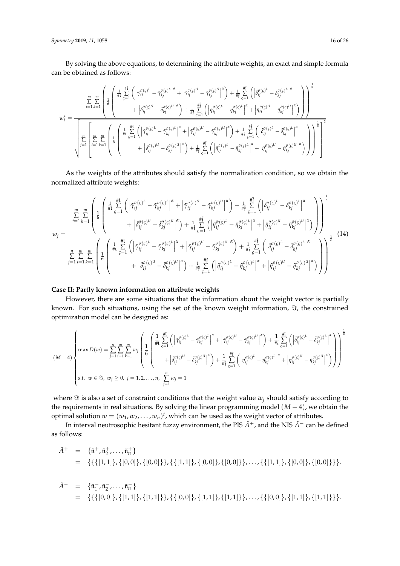*Symmetry* **2019**, *11*, 1058 16 of 26

By solving the above equations, to determining the attribute weights, an exact and simple formula can be obtained as follows:

$$
w_j^* = \frac{\sum\limits_{i=1}^m \sum\limits_{k=1}^m \left( \frac{1}{6} \left( \frac{\pi^{\frac{4\tilde{t}}{4\tilde{t}}}}{\varepsilon - 1} \left( \left| \tilde{\gamma}_{ij}^{\sigma(\varsigma)^L} - \tilde{\gamma}_{kj}^{\sigma(\varsigma)^L} \right|^{\alpha} + \left| \tilde{\gamma}_{ij}^{\sigma(\varsigma)^U} - \tilde{\gamma}_{kj}^{\sigma(\varsigma)^U} \right|^{\alpha} \right) + \frac{1}{\# \tilde{t}} \sum\limits_{\varsigma=1}^{\# \tilde{t}} \left( \left| \tilde{\delta}_{ij}^{\sigma(\varsigma)^L} - \tilde{\delta}_{kj}^{\sigma(\varsigma)^L} \right|^{\alpha} \right) \right)^{\frac{1}{\alpha}}}{\sqrt{\sum\limits_{j=1}^m \left( \frac{1}{6} \sum\limits_{i=1}^m \left( \frac{\pi^{\frac{4\tilde{t}}{4\tilde{t}}}{\varepsilon - 1} \left( \left| \tilde{\gamma}_{ij}^{\sigma(\varsigma)^L} - \tilde{\gamma}_{kj}^{\sigma(\varsigma)^L} \right|^{\alpha} + \left| \tilde{\gamma}_{ij}^{\sigma(\varsigma)^L} - \tilde{\eta}_{kj}^{\sigma(\varsigma)^L} \right|^{\alpha} + \left| \tilde{\gamma}_{ij}^{\sigma(\varsigma)^L} - \tilde{\eta}_{kj}^{\sigma(\varsigma)^L} \right|^{\alpha} \right) \right)^{\frac{1}{\alpha}}} \right)^{\frac{1}{\alpha}}}{\sqrt{\sum\limits_{j=1}^m \left( \sum\limits_{i=1}^m \sum\limits_{k=1}^m \left( \frac{\pi^{\frac{4\tilde{t}}{4\tilde{t}}}{\varepsilon - 1} \left( \left| \tilde{\gamma}_{ij}^{\sigma(\varsigma)^L} - \tilde{\gamma}_{kj}^{\sigma(\varsigma)^L} \right|^{\alpha} + \left| \tilde{\gamma}_{ij}^{\sigma(\varsigma)^U} - \tilde{\gamma}_{kj}^{\sigma(\varsigma)^U} \right|^{\alpha} \right) + \frac{1}{\# \tilde{t}} \sum\limits_{\varsigma=1}^{\# \tilde{t}} \left( \left| \tilde{\gamma}_{ij}^{\sigma(\varsigma)^L} - \tilde{\eta}_{kj}^{\sigma(\varsigma)^L} \right|^{\alpha} + \left| \tilde{\gamma}_{ij}^
$$

As the weights of the attributes should satisfy the normalization condition, so we obtain the normalized attribute weights:

<span id="page-15-0"></span>
$$
w_{j} = \frac{\sum_{i=1}^{m} \sum_{k=1}^{m} \left( \left| \tilde{\tau}_{ij}^{\tilde{\sigma}(\varsigma)^{L}} - \tilde{\tau}_{kj}^{\tilde{\sigma}(\varsigma)^{L}} \right|^{\alpha} + \left| \tilde{\tau}_{ij}^{\tilde{\sigma}(\varsigma)^{U}} - \tilde{\tau}_{kj}^{\tilde{\sigma}(\varsigma)^{U}} \right|^{\alpha} \right) + \frac{1}{\# \tilde{\mathfrak{f}}} \sum_{\varsigma=1}^{\# \tilde{\mathfrak{f}}} \left( \left| \tilde{\sigma}_{ij}^{\tilde{\sigma}(\varsigma)^{L}} - \tilde{\delta}_{kj}^{\tilde{\sigma}(\varsigma)^{L}} \right|^{\alpha} \right)}{\omega_{j}}}{\sum_{j=1}^{m} \sum_{i=1}^{m} \sum_{k=1}^{m} \left( \left| \frac{1}{\tilde{\pi}_{i}} \sum_{\varsigma=1}^{\# \tilde{\mathfrak{f}}} \left( \left| \tilde{\tau}_{ij}^{\tilde{\sigma}(\varsigma)^{L}} - \tilde{\tau}_{kj}^{\tilde{\sigma}(\varsigma)^{L}} \right|^{\alpha} \right) + \frac{1}{\# \tilde{\mathfrak{f}}} \sum_{\varsigma=1}^{\# \tilde{\mathfrak{f}}} \left( \left| \tilde{\tau}_{ij}^{\tilde{\sigma}(\varsigma)^{L}} - \tilde{\eta}_{kj}^{\tilde{\sigma}(\varsigma)^{L}} \right|^{\alpha} + \left| \tilde{\eta}_{ij}^{\tilde{\sigma}(\varsigma)^{L}} - \tilde{\eta}_{kj}^{\tilde{\sigma}(\varsigma)^{L}} \right| \right) \right) + \frac{1}{\# \tilde{\mathfrak{f}}} \sum_{\varsigma=1}^{\# \tilde{\mathfrak{f}}} \left( \left| \tilde{\delta}_{ij}^{\tilde{\sigma}(\varsigma)^{L}} - \tilde{\delta}_{kj}^{\tilde{\sigma}(\varsigma)^{L}} \right|^{\alpha} \right) + \frac{1}{\# \tilde{\mathfrak{f}}} \sum_{\varsigma=1}^{\# \tilde{\mathfrak{f}}} \left( \left| \tilde{\delta}_{ij}^{\tilde{\sigma}(\varsigma)^{L}} - \tilde{\delta}_{kj}^{\tilde{\sigma}(\varsigma)^{L}} \right|^{\alpha} \right) \right) + \frac{1}{\# \tilde{\mathfrak
$$

# **Case II: Partly known information on attribute weights**

However, there are some situations that the information about the weight vector is partially known. For such situations, using the set of the known weight information,  $\Im$ , the constrained optimization model can be designed as:

$$
(M-4) \left\{\max \tilde{D}(w) = \sum_{j=1}^{n} \sum_{i=1}^{m} \sum_{k=1}^{m} w_{j} \left( \frac{1}{6} \begin{pmatrix} \frac{1}{4} \frac{\#1}{4} \left( \left| \tilde{\gamma}_{ij}^{\sigma(s)}^{L} - \tilde{\gamma}_{kj}^{\sigma(s)}^{L} \right|^{a} + \left| \tilde{\gamma}_{ij}^{\sigma(s)}^{L} - \tilde{\gamma}_{kj}^{\sigma(s)}^{L} \right|^{a} \right) + \frac{1}{4} \frac{1}{6} \sum_{i=1}^{n} \left( \left| \tilde{\delta}_{ij}^{\sigma(s)}^{L} - \tilde{\delta}_{kj}^{\sigma(s)}^{L} \right|^{a} \right) \right) \frac{1}{4} \right\} \\ + \left| \tilde{\delta}_{ij}^{\sigma(s)}^{L} - \tilde{\delta}_{kj}^{\sigma(s)}^{L} \right|^{a} \right) + \frac{1}{4} \sum_{i=1}^{n} \left( \left| \tilde{\eta}_{ij}^{\sigma(s)}^{L} - \tilde{\eta}_{kj}^{\sigma(s)}^{L} \right|^{a} + \left| \tilde{\eta}_{ij}^{\sigma(s)}^{L} - \tilde{\eta}_{kj}^{\sigma(s)}^{L} \right|^{a} \right) \right) \frac{1}{4} \right\}
$$
  
s.t.  $w \in \mathcal{F}, w_{j} \geq 0, j = 1, 2, ..., n, \sum_{j=1}^{n} w_{j} = 1$ 

where  $\Im$  is also a set of constraint conditions that the weight value  $w_j$  should satisfy according to the requirements in real situations. By solving the linear programming model (*M* − 4), we obtain the optimal solution  $w = (w_1, w_2, \dots, w_n)^t$ , which can be used as the weight vector of attributes.

In interval neutrosophic hesitant fuzzy environment, the PIS *A*˜+, and the NIS *A*˜<sup>−</sup> can be defined as follows:

$$
\tilde{A}^+ = \{\tilde{\mathfrak{n}}_1^+, \tilde{\mathfrak{n}}_2^+, \ldots, \tilde{\mathfrak{n}}_n^+\} \n= \{\{\{[1,1]\}, \{[0,0]\}, \{[0,0]\}\}, \{\{[1,1]\}, \{[0,0]\}\}, \ldots, \{\{[1,1]\}, \{[0,0]\}, \{[0,0]\}\}\}.
$$

$$
\tilde{A}^- = \{\tilde{\mathfrak{n}}_1^-, \tilde{\mathfrak{n}}_2^-, \ldots, \tilde{\mathfrak{n}}_n^-\}\n= \{\{\{[0,0]\}, \{[1,1]\}, \{[1,1]\}\}, \{[0,0]\}, \{[1,1]\}\}, \ldots, \{\{[0,0]\}, \{[1,1]\}\}, \{[1,1]\}\}.
$$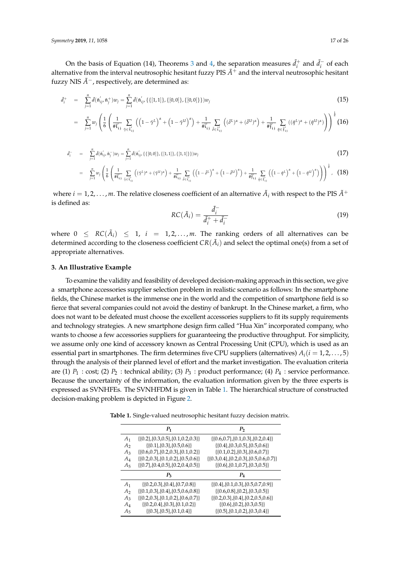*Symmetry* **2019**, 11, 1058 17 of 26

On the basis of Equation (14), Theorems [3](#page-13-0) and [4,](#page-13-1) the separation measures  $\tilde{d}^+_i$  and  $\tilde{d}^-_i$  of each alternative from the interval neutrosophic hesitant fuzzy PIS  $\tilde{A}^+$  and the interval neutrosophic hesitant fuzzy NIS  $\hat{A}$ <sup>−</sup>, respectively, are determined as:

<span id="page-16-2"></span>
$$
\tilde{d}_i^+ = \sum_{j=1}^n \tilde{d}(\tilde{\mathfrak{n}}'_{ij}, \tilde{\mathfrak{n}}_j^+) w_j = \sum_{j=1}^n \tilde{d}(\tilde{\mathfrak{n}}'_{ij}, \{ \{ [1,1] \}, \{ [0,0] \}, \{ [0,0] \} \}) w_j
$$
\n(15)

$$
= \sum_{j=1}^n w_j \left( \frac{1}{6} \left( \frac{1}{\#\tilde{t}'_{ij}} \sum_{\tilde{\gamma} \in \tilde{t}'_{ij}} \left( \left( 1 - \tilde{\gamma}^L \right)^{\alpha} + \left( 1 - \tilde{\gamma}^U \right)^{\alpha} \right) + \frac{1}{\#\tilde{t}'_{ij}} \sum_{\tilde{\delta} \in \tilde{t}'_{ij}} \left( (\tilde{\delta}^L)^{\alpha} + (\tilde{\delta}^U)^{\alpha} \right) + \frac{1}{\#\tilde{t}'_{ij}} \sum_{\tilde{\eta} \in \tilde{t}'_{ij}} \left( (\tilde{\eta}^L)^{\alpha} + (\tilde{\eta}^U)^{\alpha} \right) \right)^{\frac{1}{\alpha}} (16)
$$

<span id="page-16-3"></span>
$$
\tilde{d}_{i}^{-} = \sum_{j=1}^{n} d(\tilde{n}_{ij}', \tilde{n}_{j}^{-}) w_{j} = \sum_{j=1}^{n} d(\tilde{n}_{ij}', \{[0,0]\}, \{[1,1]\}, \{[1,1]\}) w_{j}
$$
\n
$$
= \sum_{j=1}^{n} w_{j} \left( \frac{1}{6} \left( \frac{1}{\# \tilde{t}_{i,j}} \sum_{\tau \in \tilde{t}_{i,j}} \left( (\tilde{\tau}^{L})^{\alpha} + (\tilde{\tau}^{U})^{\alpha} \right) + \frac{1}{\# \tilde{t}_{i,j}} \sum_{\delta \in \tilde{t}_{i,j}'} \left( \left( 1 - \tilde{\delta}^{L} \right)^{\alpha} + \left( 1 - \tilde{\delta}^{U} \right)^{\alpha} \right) + \frac{1}{\# \tilde{t}_{i,j}} \sum_{\eta \in \tilde{t}_{i,j}'} \left( \left( 1 - \tilde{\eta}^{L} \right)^{\alpha} + \left( 1 - \tilde{\eta}^{U} \right)^{\alpha} \right) \right)^{\frac{1}{\alpha}}, \quad (18)
$$

where  $i = 1, 2, \ldots, m$ . The relative closeness coefficient of an alternative  $\tilde{A}_i$  with respect to the PIS  $\tilde{A}^+$ is defined as:

<span id="page-16-4"></span>
$$
RC(\tilde{A}_i) = \frac{\tilde{d}_i^-}{\tilde{d}_i^+ + \tilde{d}_i^-}
$$
\n(19)

where  $0 \leq RC(\tilde{A}_i) \leq 1, i = 1, 2, ..., m$ . The ranking orders of all alternatives can be determined according to the closeness coefficient  $CR(\tilde{A}_i)$  and select the optimal one(s) from a set of appropriate alternatives.

#### <span id="page-16-0"></span>**3. An Illustrative Example**

To examine the validity and feasibility of developed decision-making approach in this section, we give a smartphone accessories supplier selection problem in realistic scenario as follows: In the smartphone fields, the Chinese market is the immense one in the world and the competition of smartphone field is so fierce that several companies could not avoid the destiny of bankrupt. In the Chinese market, a firm, who does not want to be defeated must choose the excellent accessories suppliers to fit its supply requirements and technology strategies. A new smartphone design firm called "Hua Xin" incorporated company, who wants to choose a few accessories suppliers for guaranteeing the productive throughput. For simplicity, we assume only one kind of accessory known as Central Processing Unit (CPU), which is used as an essential part in smartphones. The firm determines five CPU suppliers (alternatives)  $A_i(i = 1, 2, \ldots, 5)$ through the analysis of their planned level of effort and the market investigation. The evaluation criteria are (1) *P*<sup>1</sup> : cost; (2) *P*<sup>2</sup> : technical ability; (3) *P*<sup>3</sup> : product performance; (4) *P*<sup>4</sup> : service performance. Because the uncertainty of the information, the evaluation information given by the three experts is expressed as SVNHFEs. The SVNHFDM is given in Table [1.](#page-16-1) The hierarchical structure of constructed decision-making problem is depicted in Figure [2.](#page-17-0)

<span id="page-16-1"></span>**Table 1.** Single-valued neutrosophic hesitant fuzzy decision matrix.

|                | P <sub>1</sub>                               | P,                                                |
|----------------|----------------------------------------------|---------------------------------------------------|
| A <sub>1</sub> | $\{0.2\}, \{0.3, 0.5\}, \{0.1, 0.2, 0.3\}\}$ | $\{0.6, 0.7\}, \{0.1, 0.3\}, \{0.2, 0.4\}\}$      |
| A <sub>2</sub> | $\{0.1\}, \{0.3\}, \{0.5, 0.6\}\}$           | $\{0.4\}, \{0.3, 0.5\}, \{0.5, 0.6\}\}$           |
| $A_3$          | $\{0.6, 0.7\}, \{0.2, 0.3\}, \{0.1, 0.2\}\}$ | $\{0.1, 0.2\}, \{0.3\}, \{0.6, 0.7\}\}$           |
| $A_4$          | $\{0.2, 0.3\}, \{0.1, 0.2\}, \{0.5, 0.6\}\}$ | $\{0.3, 0.4\}, \{0.2, 0.3\}, \{0.5, 0.6, 0.7\}\}$ |
| $A_5$          | $\{0.7\},\{0.4,0.5\},\{0.2,0.4,0.5\}\}$      | $\{0.6\}, \{0.1, 0.7\}, \{0.3, 0.5\}\}$           |
|                | $P_{3}$                                      | $P_{4}$                                           |
| A <sub>1</sub> | $\{0.2, 0.3\}, \{0.4\}, \{0.7, 0.8\}\}$      | $\{0.4\}, \{0.1, 0.3\}, \{0.5, 0.7, 0.9\}\}$      |
| A <sub>2</sub> | $\{0.1, 0.3\}, \{0.4\}, \{0.5, 0.6, 0.8\}\}$ | $\{0.6, 0.8\}, \{0.2\}, \{0.3, 0.5\}\}$           |
| $A_3$          | $\{0.2, 0.3\}, \{0.1, 0.2\}, \{0.6, 0.7\}\}$ | $\{0.2, 0.3\}, \{0.4\}, \{0.2, 0.5, 0.6\}\}$      |
| A4             | $\{0.2, 0.4\}, \{0.3\}, \{0.1, 0.2\}\}$      | $\{0.6\}, \{0.2\}, \{0.3, 0.5\}\}$                |
| A5             | $\{0.3\}, \{0.5\}, \{0.1, 0.4\}\}$           | $\{0.5\}, \{0.1, 0.2\}, \{0.3, 0.4\}\}$           |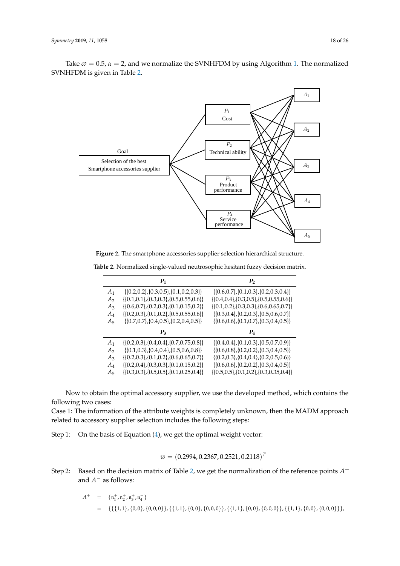

<span id="page-17-0"></span>Take  $\varpi = 0.5$ ,  $\alpha = 2$ , and we normalize the SVNHFDM by using Algorithm [1.](#page-4-0) The normalized SVNHFDM is given in Table [2.](#page-17-1)

**Figure 2.** The smartphone accessories supplier selection hierarchical structure.

Service

performance

| $P_1$<br>P <sub>2</sub><br>$\{[0.6, 0.7], [0.1, 0.3], [0.2, 0.3, 0.4]\}$<br>$\{0.2, 0.2\}, \{0.3, 0.5\}, \{0.1, 0.2, 0.3\}\}$<br>A <sub>1</sub><br>A <sub>2</sub><br>$\{0.1, 0.1\}, \{0.3, 0.3\}, \{0.5, 0.55, 0.6\}\}$<br>$\{0.6, 0.7\}, \{0.2, 0.3\}, \{0.1, 0.15, 0.2\}\}$<br>$A_3$<br>$\{0.2, 0.3\}, \{0.1, 0.2\}, \{0.5, 0.55, 0.6\}\}$<br>$\{0.3, 0.4\}, \{0.2, 0.3\}, \{0.5, 0.6, 0.7\}\}$<br>$A_4$<br>$\{(0.7, 0.7), (0.4, 0.5), (0.2, 0.4, 0.5)\}\$<br>$\{[0.6, 0.6], [0.1, 0.7], [0.3, 0.4, 0.5]\}$<br>$A_5$<br>$P_4$<br>$P_3$<br>$\{0.4, 0.4\}, \{0.1, 0.3\}, \{0.5, 0.7, 0.9\}\}$<br>$\{ \{0.2, 0.3\}, \{0.4, 0.4\}, \{0.7, 0.75, 0.8\} \}$<br>A <sub>1</sub><br>$\{0.1, 0.3\}, \{0.4, 0.4\}, \{0.5, 0.6, 0.8\}\}$<br>$\{0.6, 0.8\}, \{0.2, 0.2\}, \{0.3, 0.4, 0.5\}\}$<br>A <sub>2</sub><br>$\{[0.2, 0.3], [0.1, 0.2], [0.6, 0.65, 0.7]\}$<br>$A_3$<br>$\{0.2, 0.3\}, \{0.4, 0.4\}, \{0.2, 0.5, 0.6\}\}$<br>$\{ \{0.2, 0.4\}, \{0.3, 0.3\}, \{0.1, 0.15, 0.2\} \}$<br>$\{ \{0.6, 0.6\}, \{0.2, 0.2\}, \{0.3, 0.4, 0.5\} \}$<br>$A_4$ |  |                                                    |
|---------------------------------------------------------------------------------------------------------------------------------------------------------------------------------------------------------------------------------------------------------------------------------------------------------------------------------------------------------------------------------------------------------------------------------------------------------------------------------------------------------------------------------------------------------------------------------------------------------------------------------------------------------------------------------------------------------------------------------------------------------------------------------------------------------------------------------------------------------------------------------------------------------------------------------------------------------------------------------------------------------------------------------------------------|--|----------------------------------------------------|
|                                                                                                                                                                                                                                                                                                                                                                                                                                                                                                                                                                                                                                                                                                                                                                                                                                                                                                                                                                                                                                                   |  |                                                    |
|                                                                                                                                                                                                                                                                                                                                                                                                                                                                                                                                                                                                                                                                                                                                                                                                                                                                                                                                                                                                                                                   |  |                                                    |
|                                                                                                                                                                                                                                                                                                                                                                                                                                                                                                                                                                                                                                                                                                                                                                                                                                                                                                                                                                                                                                                   |  | $\{0.4, 0.4\}, \{0.3, 0.5\}, \{0.5, 0.55, 0.6\}$   |
|                                                                                                                                                                                                                                                                                                                                                                                                                                                                                                                                                                                                                                                                                                                                                                                                                                                                                                                                                                                                                                                   |  | $\{0.1, 0.2\}, \{0.3, 0.3\}, \{0.6, 0.65, 0.7\}\}$ |
|                                                                                                                                                                                                                                                                                                                                                                                                                                                                                                                                                                                                                                                                                                                                                                                                                                                                                                                                                                                                                                                   |  |                                                    |
|                                                                                                                                                                                                                                                                                                                                                                                                                                                                                                                                                                                                                                                                                                                                                                                                                                                                                                                                                                                                                                                   |  |                                                    |
|                                                                                                                                                                                                                                                                                                                                                                                                                                                                                                                                                                                                                                                                                                                                                                                                                                                                                                                                                                                                                                                   |  |                                                    |
|                                                                                                                                                                                                                                                                                                                                                                                                                                                                                                                                                                                                                                                                                                                                                                                                                                                                                                                                                                                                                                                   |  |                                                    |
|                                                                                                                                                                                                                                                                                                                                                                                                                                                                                                                                                                                                                                                                                                                                                                                                                                                                                                                                                                                                                                                   |  |                                                    |
|                                                                                                                                                                                                                                                                                                                                                                                                                                                                                                                                                                                                                                                                                                                                                                                                                                                                                                                                                                                                                                                   |  |                                                    |
|                                                                                                                                                                                                                                                                                                                                                                                                                                                                                                                                                                                                                                                                                                                                                                                                                                                                                                                                                                                                                                                   |  |                                                    |
| $\{0.5, 0.5\}, \{0.1, 0.2\}, \{0.3, 0.35, 0.4\}\}$<br>$\{0.3, 0.3\}, \{0.5, 0.5\}, \{0.1, 0.25, 0.4\}\}$<br>$A_5$                                                                                                                                                                                                                                                                                                                                                                                                                                                                                                                                                                                                                                                                                                                                                                                                                                                                                                                                 |  |                                                    |

<span id="page-17-1"></span>Table 2. Normalized single-valued neutrosophic hesitant fuzzy decision matrix.

P<sup>3</sup> P<sup>4</sup> Now to obtain the optimal accessory supplier, we use the developed method, which contains the following two cases:

Case 1. The information of the attribute weights is completely unknown, then the MADM ap<br>related to accessory supplier selection includes the following steps: Case 1: The information of the attribute weights is completely unknown, then the MADM approach

 $\mathcal{Q}_1$   $\mathcal{Q}_2$ ,  $\mathcal{Q}_3$ ,  $\mathcal{Q}_4$   $\mathcal{Q}_5$   $\mathcal{Q}_6$   $\mathcal{Q}_7$ ,  $\mathcal{Q}_8$ ,  $\mathcal{Q}_7$ ,  $\mathcal{Q}_8$ ,  $\mathcal{Q}_8$ ,  $\mathcal{Q}_9$ ,  $\mathcal{Q}_9$ ,  $\mathcal{Q}_9$ ,  $\mathcal{Q}_9$ ,  $\mathcal{Q}_9$ ,  $\mathcal{Q}_9$ ,  $\mathcal{Q}_9$ ,  $\mathcal{Q}_9$ ,  $\mathcal{Q}_9$ ,  $\mathcal{$ Step 1: On the basis of Equation [\(4\)](#page-8-0), we get the optimal weight vector:  $\frac{d}{dt}$ 

$$
w = (0.2994, 0.2367, 0.2521, 0.2118)^T
$$

Step 2: Based on the decision matrix of Table 2, we get the normalization of the reference points  $A^+$ and  $A^-$  as follows:

$$
A^{+} = \{n_{1}^{+}, n_{2}^{+}, n_{3}^{+}, n_{4}^{+}\}\
$$
  
= { { { {1, 1}, { {0, 0}, { {0, 0, 0}}} }, { { {1, 1}, { {0, 0}, { {0, 0}}} }, { { {1, 1}, { {0, 0}, { 0, 0}}} }, { { {1, 1}, { {0, 0}, { 1}, { {0, 0, 0}}} } }\}.

 $A_5$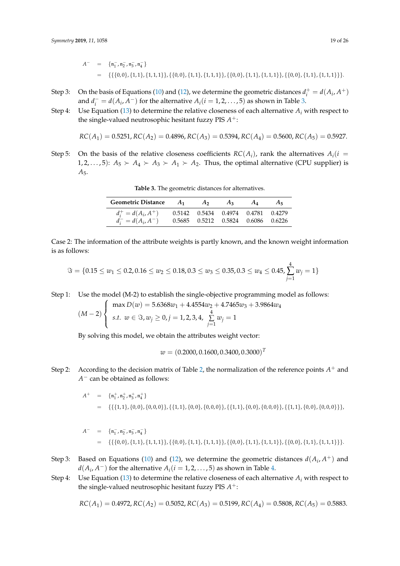- Step 3: On the basis of Equations [\(10\)](#page-8-3) and [\(12\)](#page-9-0), we determine the geometric distances  $d_i^+ = d(A_i, A^+)$ and  $d_i^- = d(A_i, A^-)$  for the alternative  $A_i (i = 1, 2, ..., 5)$  as shown in Table [3.](#page-18-0)
- Step 4: Use Equation [\(13\)](#page-9-1) to determine the relative closeness of each alternative  $A_i$  with respect to the single-valued neutrosophic hesitant fuzzy PIS  $A^+$ :

$$
RC(A_1) = 0.5251, RC(A_2) = 0.4896, RC(A_3) = 0.5394, RC(A_4) = 0.5600, RC(A_5) = 0.5927.
$$

<span id="page-18-0"></span>Step 5: On the basis of the relative closeness coefficients  $RC(A_i)$ , rank the alternatives  $A_i(i =$ 1, 2, . . . , 5):  $A_5 \succ A_4 \succ A_3 \succ A_1 \succ A_2$ . Thus, the optimal alternative (CPU supplier) is *A*5.

| Geometric Distance $A_1$ $A_2$ |                                        | $A_3$ | $A_4$ | $A_{5}$ |
|--------------------------------|----------------------------------------|-------|-------|---------|
| $d_i^+ = d(A_i, A^+)$          | 0.5142  0.5434  0.4974  0.4781  0.4279 |       |       |         |
| $d_i^- = d(A_i, A^-)$          | 0.5685 0.5212 0.5824 0.6086 0.6226     |       |       |         |

**Table 3.** The geometric distances for alternatives.

Case 2: The information of the attribute weights is partly known, and the known weight information is as follows:

$$
\Im = \{0.15 \le w_1 \le 0.2, 0.16 \le w_2 \le 0.18, 0.3 \le w_3 \le 0.35, 0.3 \le w_4 \le 0.45, \sum_{j=1}^{4} w_j = 1\}
$$

Step 1: Use the model (M-2) to establish the single-objective programming model as follows:

$$
(M-2)\begin{cases} \max D(w) = 5.6368w_1 + 4.4554w_2 + 4.7465w_3 + 3.9864w_4\\ \text{s.t. } w \in \Im, w_j \ge 0, j = 1, 2, 3, 4, \sum_{j=1}^4 w_j = 1 \end{cases}
$$

By solving this model, we obtain the attributes weight vector:

$$
w = (0.2000, 0.1600, 0.3400, 0.3000)^T
$$

Step 2: According to the decision matrix of Table [2,](#page-17-1) the normalization of the reference points  $A^+$  and *A* − can be obtained as follows:

$$
A^{+} = \{n_{1}^{+}, n_{2}^{+}, n_{3}^{+}, n_{4}^{+}\}\
$$
  
= { $\{\{1,1\}, \{0,0\}, \{0,0,0\}\}, \{\{1,1\}, \{0,0\}, \{0,0,0\}\}, \{\{1,1\}, \{0,0\}, \{0,0,0\}\}, \{\{1,1\}, \{0,0\}, \{0,0,0\}\}\},$ 

$$
A^{-} = \{n_1^-, n_2^-, n_3^-, n_4^-\}
$$
  
= {{(0,0}, {1,1}, {1,1,1}}, {0,0}, {1,1}, {1,1,1}, {0,0}, {1,1}, {1,1,1}, {1,0,0}, {1,1,1}, {1,1,1}, \}

- Step 3: Based on Equations [\(10\)](#page-8-3) and [\(12\)](#page-9-0), we determine the geometric distances  $d(A_i, A^+)$  and  $d(A_i, A^-)$  for the alternative  $A_i (i = 1, 2, \ldots, 5)$  as shown in Table [4.](#page-19-0)
- Step 4: Use Equation [\(13\)](#page-9-1) to determine the relative closeness of each alternative  $A_i$  with respect to the single-valued neutrosophic hesitant fuzzy PIS  $A^+$ :

$$
RC(A_1) = 0.4972, RC(A_2) = 0.5052, RC(A_3) = 0.5199, RC(A_4) = 0.5808, RC(A_5) = 0.5883.
$$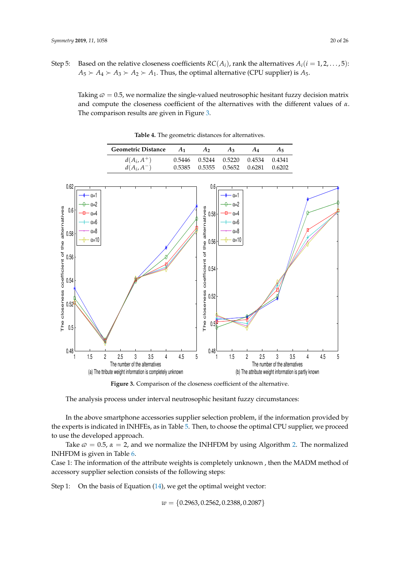<span id="page-19-0"></span>Taking  $\varphi = 0.5$ , we normalize the single-valued neutrosophic hesitant fuzzy decision matrix and compute the closeness coefficient of the alternatives with the different values of *α*. The comparison results are given in Figure [3.](#page-19-1)

Geometric Distance  $A_1$   $A_2$   $A_3$   $A_4$   $A_5$  $d(A_i, A_j)$ <sup>+</sup>) 0.5446 0.5244 0.5220 0.4534 0.4341  $d(A_i, A_j)$ −) 0.5385 0.5355 0.5652 0.6281 0.6202

**Table 4.** The geometric distances for alternatives.

<span id="page-19-1"></span>

**Figure 3.** Comparison of the closeness coefficient of the alternative.

The analysis process under interval neutrosophic hesitant fuzzy circumstances:

In the above smartphone accessories supplier selection problem, if the information provided by the experts is indicated in INHFEs, as in Table [5.](#page-22-0) Then, to choose the optimal CPU supplier, we proceed to use the developed approach.

Take  $\varphi = 0.5$ ,  $\alpha = 2$ , and we normalize the INHFDM by using Algorithm [2.](#page-12-0) The normalized INHFDM is given in Table [6.](#page-22-1)

Case 1: The information of the attribute weights is completely unknown , then the MADM method of accessory supplier selection consists of the following steps:

Step 1: On the basis of Equation [\(14\)](#page-15-0), we get the optimal weight vector:

*w* = {0.2963, 0.2562, 0.2388, 0.2087}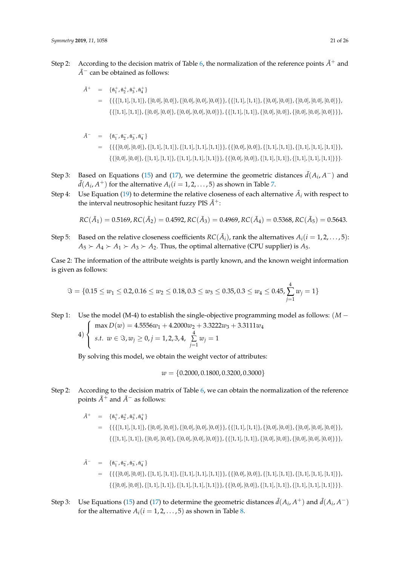- Step 2: According to the decision matrix of Table [6,](#page-22-1) the normalization of the reference points  $\tilde{A}^+$  and  $\tilde{A}^-$  can be obtained as follows:
	- $\tilde{A}^+ = \{\tilde{\mathfrak{n}}^+_1, \tilde{\mathfrak{n}}^+_2, \tilde{\mathfrak{n}}^+_3, \tilde{\mathfrak{n}}^+_4\}$  $= {\{ \{\{[1,1], [1,1]\}, \{[0,0], [0,0]\}, \{[0,0], [0,0], [0,0]\}\}, \{\{[1,1], [1,1]\}, \{[0,0], [0,0]\}, [0,0]\}, \{[0,0], [0,0]\} \}}$  $\{\{[1,1],[1,1]\},\{[0,0],[0,0]\},\{[0,0],[0,0],[0,0]\}\},\{\{[1,1],[1,1]\},\{[0,0],[0,0]\},\{[0,0],[0,0]\}\}\},$

$$
\tilde{A}^{-} = \{\tilde{\mathfrak{n}}_{1}^{-}, \tilde{\mathfrak{n}}_{2}^{-}, \tilde{\mathfrak{n}}_{3}^{-}, \tilde{\mathfrak{n}}_{4}^{-}\}
$$
\n
$$
= \{\{\{[0,0], [0,0]\}, \{[1,1], [1,1]\}, \{[1,1], [1,1], [1,1]\}\}, \{\{[0,0], [0,0]\}, \{[1,1], [1,1]\}, \{[1,1], [1,1]\}\}, \{\{[0,0], [0,0]\}, \{[1,1], [1,1], [1,1]\}\} \}.
$$

- Step 3: Based on Equations [\(15\)](#page-16-2) and [\(17\)](#page-16-3), we determine the geometric distances  $\tilde{d}(A_i, A^-)$  and  $\tilde{d}(A_i,A^+)$  for the alternative  $A_i(i=1,2,\ldots,5)$  as shown in Table [7.](#page-23-1)
- Step 4: Use Equation [\(19\)](#page-16-4) to determine the relative closeness of each alternative  $\tilde{A}_i$  with respect to the interval neutrosophic hesitant fuzzy PIS  $\tilde{A}^+$ :

$$
RC(\tilde{A}_1) = 0.5169, RC(\tilde{A}_2) = 0.4592, RC(\tilde{A}_3) = 0.4969, RC(\tilde{A}_4) = 0.5368, RC(\tilde{A}_5) = 0.5643.
$$

Step 5: Based on the relative closeness coefficients  $RC(\tilde{A}_i)$ , rank the alternatives  $A_i (i=1,2,\ldots,5)$ :  $A_5 \rightarrow A_4 \rightarrow A_1 \rightarrow A_3 \rightarrow A_2$ . Thus, the optimal alternative (CPU supplier) is  $A_5$ .

Case 2: The information of the attribute weights is partly known, and the known weight information is given as follows:

$$
\Im = \{0.15 \le w_1 \le 0.2, 0.16 \le w_2 \le 0.18, 0.3 \le w_3 \le 0.35, 0.3 \le w_4 \le 0.45, \sum_{j=1}^{4} w_j = 1\}
$$

Step 1: Use the model (M-4) to establish the single-objective programming model as follows: (*M* −

$$
4) \begin{cases} \max D(w) = 4.5556w_1 + 4.2000w_2 + 3.3222w_3 + 3.3111w_4\\ \text{s.t. } w \in \Im, w_j \ge 0, j = 1, 2, 3, 4, \sum_{j=1}^4 w_j = 1 \end{cases}
$$

By solving this model, we obtain the weight vector of attributes:

$$
w = \{0.2000, 0.1800, 0.3200, 0.3000\}
$$

Step 2: According to the decision matrix of Table [6,](#page-22-1) we can obtain the normalization of the reference points  $\tilde{A}^+$  and  $\tilde{A}^-$  as follows:

 $\tilde{A}^+ = \{\tilde{\mathfrak{n}}^+_1, \tilde{\mathfrak{n}}^+_2, \tilde{\mathfrak{n}}^+_3, \tilde{\mathfrak{n}}^+_4\}$ 

 $=\{\{\{[1,1],[1,1]\},\{[0,0],[0,0]\},\{[0,0],[0,0],[0,0]\}\},\{\{[1,1],[1,1]\},\{[0,0],[0,0]\},\{[0,0],[0,0]\}\},\$  $\{([1, 1], [1, 1]\}, \{[0, 0], [0, 0]\}, \{[0, 0], [0, 0], [0, 0]\}\}, \{([1, 1], [1, 1]\}, \{[0, 0], [0, 0]\}, \{[0, 0], [0, 0]\}\}\},$ 

$$
\tilde{A}^{-} = \{\tilde{\mathfrak{n}}_{1}^{-}, \tilde{\mathfrak{n}}_{2}^{-}, \tilde{\mathfrak{n}}_{3}^{-}, \tilde{\mathfrak{n}}_{4}^{-}\}\
$$
\n
$$
= \{\{\{[0,0], [0,0]\}, \{[1,1], [1,1]\}, \{[1,1], [1,1], [1,1]\}\}, \{\{[0,0], [0,0]\}, \{[1,1], [1,1]\}, \{[1,1], [1,1]\}\}, \{\{[0,0], [0,0]\}, \{[1,1], [1,1], [1,1]\}\}\}.
$$

Step 3: Use Equations [\(15\)](#page-16-2) and [\(17\)](#page-16-3) to determine the geometric distances  $\tilde{d}(A_i, A^+)$  and  $\tilde{d}(A_i, A^-)$ for the alternative  $A_i$  ( $i = 1, 2, ..., 5$ ) as shown in Table [8.](#page-23-2)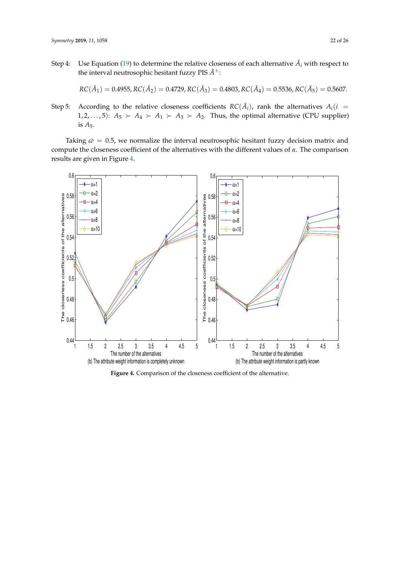Step 4: Use Equation [\(19\)](#page-16-4) to determine the relative closeness of each alternative  $\tilde{A}_i$  with respect to the interval neutrosophic hesitant fuzzy PIS  $\tilde{A}^+$ :

$$
RC(\tilde{A}_1) = 0.4955, RC(\tilde{A}_2) = 0.4729, RC(\tilde{A}_3) = 0.4803, RC(\tilde{A}_4) = 0.5536, RC(\tilde{A}_5) = 0.5607.
$$

Step 5: According to the relative closeness coefficients  $RC(\tilde{A}_i)$ , rank the alternatives  $A_i(i)$ 1, 2, . . . , 5):  $A_5 \succ A_4 \succ A_1 \succ A_3 \succ A_2$ . Thus, the optimal alternative (CPU supplier) is *A*5.

Taking  $\varpi = 0.5$ , we normalize the interval neutrosophic hesitant fuzzy decision matrix and compute the closeness coefficient of the alternatives with the different values of *α*. The comparison results are given in Figure [4.](#page-21-0)

<span id="page-21-0"></span>

**Figure 4.** Comparison of the closeness coefficient of the alternative.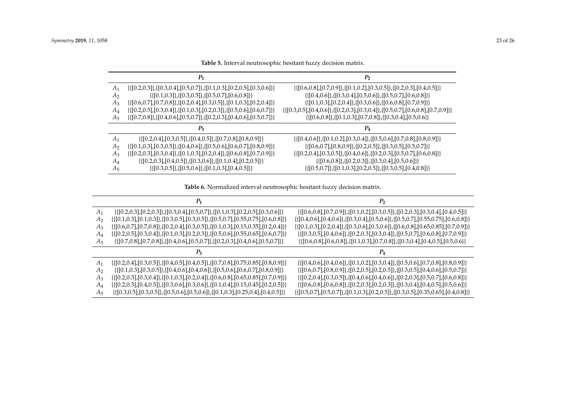| A <sub>1</sub> | $\{([0.2, 0.3]\}, [0.3, 0.4], [0.5, 0.7]\}, [0.1, 0.3], [0.2, 0.5], [0.3, 0.6]\}$      | $\{([0.6, 0.8], [0.7, 0.9], [[0.1, 0.2], [0.3, 0.5], [[0.2, 0.3], [0.4, 0.5]]\}$                   |
|----------------|----------------------------------------------------------------------------------------|----------------------------------------------------------------------------------------------------|
| A <sub>2</sub> | $\{([0.1, 0.3]), \{[0.3, 0.5]\}, \{[0.5, 0.7], [0.6, 0.8]\}\}\$                        | $\{([0.4, 0.6]), \{[0.3, 0.4], [0.5, 0.6]\}, \{[0.5, 0.7], [0.6, 0.8]\}\}\$                        |
| $A_3$          | $\{([0.6, 0.7], [0.7, 0.8], \{[0.2, 0.4], [0.3, 0.5]\}, \{[0.1, 0.3], [0.2, 0.4]\}\}\$ | $\{([0.1, 0.3], [0.2, 0.4], \{[0.3, 0.6]\}, \{[0.6, 0.8], [0.7, 0.9]\}\}\$                         |
| $A_4$          | $\{([0.2, 0.5], [0.3, 0.4], \{[0.1, 0.3], [0.2, 0.3]\}, \{[0.5, 0.6], [0.6, 0.7]\}\}\$ | $\{([0.3, 0.5], [0.4, 0.6], \{[0.2, 0.3], [0.3, 0.4]\}, \{[0.5, 0.7], [0.6, 0.8], [0.7, 0.9]\}\}\$ |
| $A_5$          | $\{([0.7, 0.8]\}, [0.4, 0.6], [0.5, 0.7]\}, [0.2, 0.3], [0.4, 0.6], [0.5, 0.7]\}$      | $\{([0.6, 0.8]), \{[0.1, 0.3], [0.7, 0.8]\}, \{[0.3, 0.4], [0.5, 0.6]\}\}$                         |
|                |                                                                                        |                                                                                                    |
|                |                                                                                        |                                                                                                    |
| $A_1$          | $\{([0.2, 0.4], [0.3, 0.5]\}, \{[0.4, 0.5]\}, \{[0.7, 0.8], [0.8, 0.9]\}\}\$           | $\{([0.4, 0.6], [[0.1, 0.2], [0.3, 0.4], [[0.5, 0.6], [0.7, 0.8], [0.8, 0.9]]\})$                  |
| A <sub>2</sub> | $\{([0.1, 0.3], [0.3, 0.5]\}, [[0.4, 0.6], [[0.5, 0.6], [0.6, 0.7], [0.8, 0.9]]\}$     | $\{([0.6, 0.7], [0.8, 0.9], \{[0.2, 0.5]\}, [0.3, 0.5], [0.5, 0.7]\}\$                             |
| $A_3$          | $\{([0.2, 0.3], [0.3, 0.4], \{[0.1, 0.3], [0.2, 0.4]\}, \{[0.6, 0.8], [0.7, 0.9]\}\}\$ | $\{([0.2, 0.4], [0.3, 0.5]\}, \{[0.4, 0.6]\}, \{[0.2, 0.3], [0.5, 0.7], [0.6, 0.8]\}\}\$           |
| $A_4$          | $\{([0.2, 0.3], [0.4, 0.5], \{[0.3, 0.6]\}, \{[0.1, 0.4], [0.2, 0.5]\}\}\$             | $\{([0.6, 0.8]), \{[0.2, 0.3]\}, \{[0.3, 0.4], [0.5, 0.6]\}\}\$                                    |

**Table 5.** Interval neutrosophic hesitant fuzzy decision matrix.

**Table 6.** Normalized interval neutrosophic hesitant fuzzy decision matrix.

<span id="page-22-1"></span><span id="page-22-0"></span>

| A1      | $\{([0.2, 0.3], [0.2, 0.3], \{[0.3, 0.4], [0.5, 0.7], \{[0.1, 0.3\}, [0.2, 0.5], [0.3, 0.6]\}\}$      | $\{([0.6, 0.8],[0.7, 0.9],[0.1, 0.2],[0.3, 0.5],[0.2, 0.3],[0.3, 0.4],[0.4, 0.5]\}\$                 |
|---------|-------------------------------------------------------------------------------------------------------|------------------------------------------------------------------------------------------------------|
| A۰      | {{[0.1,0.3],[0.1,0.3]},{[0.3,0.5],[0.3,0.5]},{[0.5,0.7],[0.55,0.75],[0.6,0.8]}}                       | $\{([0.4, 0.6], [0.4, 0.6], [[0.3, 0.4], [0.5, 0.6], [[0.5, 0.7], [0.55, 0.75], [0.6, 0.8]]\}$       |
| А٠      | $\{([0.6, 0.7], [0.7, 0.8]\}, \{[0.2, 0.4], [0.3, 0.5]\}, \{[0.1, 0.3], [0.15, 0.35], [0.2, 0.4]\}\}$ | $\{([0.1, 0.3], [0.2, 0.4], \{[0.3, 0.6], [0.3, 0.6]\}, \{[0.6, 0.8], [0.65, 0.85], [0.7, 0.9]\}\}$  |
| Ал      | $\{([0.2, 0.5], [0.3, 0.4], \{[0.1, 0.3], [0.2, 0.3]\}, \{[0.5, 0.6], [0.55, 0.65], [0.6, 0.7]\}\}$   | $\{([0.3, 0.5], [0.4, 0.6], \{[0.2, 0.3], [0.3, 0.4]\}, \{[0.5, 0.7], [0.6, 0.8], [0.7, 0.9]\}\}\$   |
| A5      | $\{([0.7, 0.8], [0.7, 0.8], \{[0.4, 0.6], [0.5, 0.7]\}, \{[0.2, 0.3], [0.4, 0.6], [0.5, 0.7]\}\}\$    | $\{([0.6, 0.8], [0.6, 0.8], \{[0.1, 0.3], [0.7, 0.8]\}, \{[0.3, 0.4], [0.4, 0.5], [0.5, 0.6]\}\}$    |
|         |                                                                                                       |                                                                                                      |
| $A_1$   | $\{[0.2, 0.4], [0.3, 0.5], [0.4, 0.5], [0.4, 0.5], [0.7, 0.8], [0.75, 0.85], [0.8, 0.9]\}$            | $\{([0.4, 0.6],[0.4, 0.6],[0.1, 0.2],[0.3, 0.4],[0.5, 0.6],[0.7, 0.8],[0.8, 0.9]\}\$                 |
| $A_{2}$ | $\{([0.1, 0.3], [0.3, 0.5]\}, \{[0.4, 0.6], [0.4, 0.6]\}, \{[0.5, 0.6], [0.6, 0.7], [0.8, 0.9]\}\}$   | $\{([0.6, 0.7], [0.8, 0.9], \{[0.2, 0.5], [0.2, 0.5]\}, \{[0.3, 0.5], [0.4, 0.6], [0.5, 0.7]\}\}\$   |
| Aз      | $\{([0.2, 0.3], [0.3, 0.4], \{[0.1, 0.3], [0.2, 0.4]\}, \{[0.6, 0.8], [0.65, 0.85], [0.7, 0.9]\}\}\$  | $\{([0.2, 0.4], [0.3, 0.5], \{[0.4, 0.6], [0.4, 0.6]\}, \{[0.2, 0.3], [0.5, 0.7], [0.6, 0.8]\}\}\$   |
| Aл      | $\{([0.2, 0.3], [0.4, 0.5]\}, \{[0.3, 0.6], [0.3, 0.6]\}, \{[0.1, 0.4], [0.15, 0.45], [0.2, 0.5]\}\}$ | $\{([0.6, 0.8], [0.6, 0.8], \{[0.2, 0.3], [0.2, 0.3]\}, \{[0.3, 0.4], [0.4, 0.5], [0.5, 0.6]\}\}$    |
| A5      | $\{([0.3, 0.5],[0.3, 0.5],[0.5, 0.6],[0.5, 0.6],[0.1, 0.3],[0.25, 0.4],[0.4, 0.5]\}\$                 | $\{([0.5, 0.7], [0.5, 0.7], \{[0.1, 0.3], [0.2, 0.5]\}, \{[0.3, 0.5], [0.35, 0.65], [0.4, 0.8]\}\}\$ |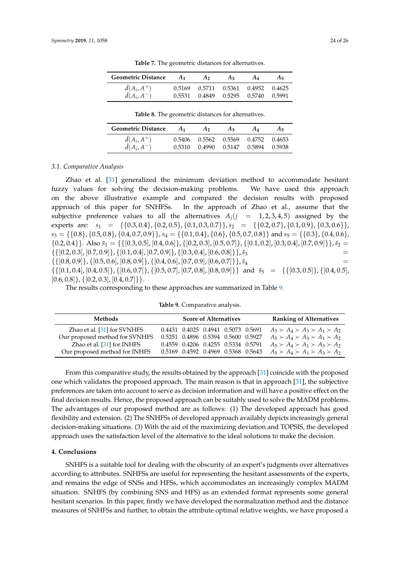<span id="page-23-1"></span>

| <b>Geometric Distance</b> | $A_1$ | A <sub>2</sub> | $A_3$ | $A_{\Lambda}$                      | A5 |
|---------------------------|-------|----------------|-------|------------------------------------|----|
| $\tilde{d}(A_i, A^+)$     |       |                |       | 0.5169 0.5711 0.5361 0.4952 0.4625 |    |
| $\tilde{d}(A_i, A^-)$     |       |                |       | 0.5531 0.4849 0.5295 0.5740 0.5991 |    |

**Table 7.** The geometric distances for alternatives.

| 0.5169 0.5711 0.5361 0.4952 0.4625                          | Geometric Distance | $A_1$ | A <sub>2</sub> | $A_3$ | A4 | A <sub>5</sub> |
|-------------------------------------------------------------|--------------------|-------|----------------|-------|----|----------------|
|                                                             | $d(A_i, A^+)$      |       |                |       |    |                |
| $\tilde{d}(A_i, A^-)$<br>0.5531 0.4849 0.5295 0.5740 0.5991 |                    |       |                |       |    |                |

**Table 8.** The geometric distances for alternatives.

<span id="page-23-2"></span>

| <b>Geometric Distance</b>                      | $A_1$ | A <sub>2</sub>                                                           | $A_3$ | $A_{\Lambda}$ | A5 |
|------------------------------------------------|-------|--------------------------------------------------------------------------|-------|---------------|----|
| $\tilde{d}(A_i, A^+)$<br>$\tilde{d}(A_i, A^-)$ |       | 0.5406 0.5562 0.5569 0.4752 0.4653<br>0.5310 0.4990 0.5147 0.5894 0.5938 |       |               |    |

#### *3.1. Comparative Analysis*

Zhao et al. [\[31\]](#page-25-11) generalized the minimum deviation method to accommodate hesitant fuzzy values for solving the decision-making problems. We have used this approach on the above illustrative example and compared the decision results with proposed approach of this paper for SNHFSs. In the approach of Zhao et al., assume that the subjective preference values to all the alternatives  $A_j$   $(j = 1, 2, 3, 4, 5)$  assigned by the experts are:  $s_1 = \{ \{0.3, 0.4\}, \{0.2, 0.5\}, \{0.1, 0.3, 0.7\} \}$ ,  $s_2 = \{ \{0.2, 0.7\}, \{0.1, 0.9\}, \{0.3, 0.6\} \}$ ,  $s_3 = \{\{0.8\}, \{0.5, 0.8\}, \{0.4, 0.7, 0.9\}\}, s_4 = \{\{0.1, 0.4\}, \{0.6\}, \{0.5, 0.7, 0.8\}\}$  and  $s_5 = \{\{0.3\}, \{0.4, 0.6\},$  $\{0.2, 0.4\}$ . Also  $\tilde{s}_1 = \{ \{ [0.3, 0.5], [0.4, 0.6] \}, \{ [0.2, 0.3], [0.5, 0.7] \}, \{ [0.1, 0.2], [0.3, 0.4], [0.7, 0.9] \} \}$ ,  $\tilde{s}_2 =$  $\{ \{ [0.2, 0.3], [0.7, 0.9] \}, \{ [0.1, 0.4], [0.7, 0.9] \}, \{ [0.3, 0.4], [0.6, 0.8] \} \},$  $\tilde{s}_3$  $\{ \{ [0.8, 0.9] \}, \{ [0.5, 0.6], [0.8, 0.9] \}, \{ [0.4, 0.6], [0.7, 0.9], [0.6, 0.7] \} \}, \tilde{s}_4$  =  $\{([0.1, 0.4], [0.4, 0.5]\}, \{[0.6, 0.7]\}, \{[0.5, 0.7], [0.7, 0.8], [0.8, 0.9]\}\}$  and  $\tilde{s}_5 = \{([0.3, 0.5]\}, \{[0.4, 0.5],$  $[0.6, 0.8]$ ,  $\{ [0.2, 0.3]$ ,  $[0.4, 0.7]$ .

The results corresponding to these approaches are summarized in Table [9.](#page-23-3)

**Table 9.** Comparative analysis.

<span id="page-23-3"></span>

| Methods                        |  |  | <b>Score of Alternatives</b>       |  | <b>Ranking of Alternatives</b>                |
|--------------------------------|--|--|------------------------------------|--|-----------------------------------------------|
| Zhao et al. [31] for SVNHFS    |  |  | 0.4431 0.4025 0.4941 0.5073 0.5691 |  | $A_5 \succ A_4 \succ A_3 \succ A_1 \succ A_2$ |
| Our proposed method for SVNHFS |  |  | 0.5251 0.4896 0.5394 0.5600 0.5927 |  | $A_5 \succ A_4 \succ A_3 \succ A_1 \succ A_2$ |
| Zhao et al. [31] for INHFS     |  |  | 0.4559 0.4206 0.4255 0.5334 0.5791 |  | $A_5 \succ A_4 \succ A_1 \succ A_3 \succ A_2$ |
| Our proposed method for INHFS  |  |  | 0.5169 0.4592 0.4969 0.5368 0.5643 |  | $A_5 \succ A_4 \succ A_1 \succ A_3 \succ A_2$ |

From this comparative study, the results obtained by the approach [\[31\]](#page-25-11) coincide with the proposed one which validates the proposed approach. The main reason is that in approach [\[31\]](#page-25-11), the subjective preferences are taken into account to serve as decision information and will have a positive effect on the final decision results. Hence, the proposed approach can be suitably used to solve the MADM problems. The advantages of our proposed method are as follows: (1) The developed approach has good flexibility and extension. (2) The SNHFSs of developed approach availably depicts increasingly general decision-making situations. (3) With the aid of the maximizing deviation and TOPSIS, the developed approach uses the satisfaction level of the alternative to the ideal solutions to make the decision.

#### <span id="page-23-0"></span>**4. Conclusions**

SNHFS is a suitable tool for dealing with the obscurity of an expert's judgments over alternatives according to attributes. SNHFSs are useful for representing the hesitant assessments of the experts, and remains the edge of SNSs and HFSs, which accommodates an increasingly complex MADM situation. SNHFS (by combining SNS and HFS) as an extended format represents some general hesitant scenarios. In this paper, firstly we have developed the normalization method and the distance measures of SNHFSs and further, to obtain the attribute optimal relative weights, we have proposed a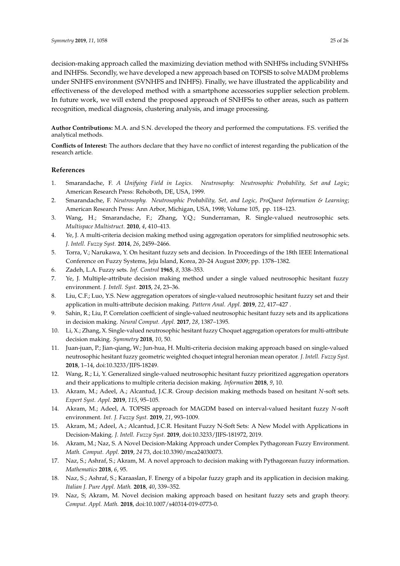decision-making approach called the maximizing deviation method with SNHFSs including SVNHFSs and INHFSs. Secondly, we have developed a new approach based on TOPSIS to solve MADM problems under SNHFS environment (SVNHFS and INHFS). Finally, we have illustrated the applicability and effectiveness of the developed method with a smartphone accessories supplier selection problem. In future work, we will extend the proposed approach of SNHFSs to other areas, such as pattern recognition, medical diagnosis, clustering analysis, and image processing.

**Author Contributions:** M.A. and S.N. developed the theory and performed the computations. F.S. verified the analytical methods.

**Conflicts of Interest:** The authors declare that they have no conflict of interest regarding the publication of the research article.

#### **References**

- <span id="page-24-0"></span>1. Smarandache, F. *A Unifying Field in Logics. Neutrosophy: Neutrosophic Probability, Set and Logic*; American Research Press: Rehoboth, DE, USA, 1999.
- <span id="page-24-1"></span>2. Smarandache, F. *Neutrosophy. Neutrosophic Probability, Set, and Logic, ProQuest Information & Learning*; American Research Press: Ann Arbor, Michigan, USA, 1998; Volume 105, pp. 118–123.
- <span id="page-24-2"></span>3. Wang, H.; Smarandache, F.; Zhang, Y.Q.; Sunderraman, R. Single-valued neutrosophic sets. *Multispace Multistruct.* **2010**, *4*, 410–413.
- <span id="page-24-3"></span>4. Ye, J. A multi-criteria decision making method using aggregation operators for simplified neutrosophic sets. *J. Intell. Fuzzy Syst.* **2014**, *26*, 2459–2466.
- <span id="page-24-4"></span>5. Torra, V.; Narukawa, Y. On hesitant fuzzy sets and decision. In Proceedings of the 18th IEEE International Conference on Fuzzy Systems, Jeju Island, Korea, 20–24 August 2009; pp. 1378–1382.
- <span id="page-24-5"></span>6. Zadeh, L.A. Fuzzy sets. *Inf. Control* **1965**, *8*, 338–353.
- <span id="page-24-6"></span>7. Ye, J. Multiple-attribute decision making method under a single valued neutrosophic hesitant fuzzy environment. *J. Intell. Syst.* **2015**, *24*, 23–36.
- <span id="page-24-7"></span>8. Liu, C.F.; Luo, Y.S. New aggregation operators of single-valued neutrosophic hesitant fuzzy set and their application in multi-attribute decision making. *Pattern Anal. Appl.* **2019**, *22*, 417–427 .
- <span id="page-24-8"></span>9. Sahin, R.; Liu, P. Correlation coefficient of single-valued neutrosophic hesitant fuzzy sets and its applications in decision making. *Neural Comput. Appl.* **2017**, *28*, 1387–1395.
- <span id="page-24-9"></span>10. Li, X.; Zhang, X. Single-valued neutrosophic hesitant fuzzy Choquet aggregation operators for multi-attribute decision making. *Symmetry* **2018**, *10*, 50.
- <span id="page-24-10"></span>11. Juan-juan, P.; Jian-qiang, W.; Jun-hua, H. Multi-criteria decision making approach based on single-valued neutrosophic hesitant fuzzy geometric weighted choquet integral heronian mean operator. *J. Intell. Fuzzy Syst.* **2018**, 1–14, doi:10.3233/JIFS-18249.
- <span id="page-24-11"></span>12. Wang, R.; Li, Y. Generalized single-valued neutrosophic hesitant fuzzy prioritized aggregation operators and their applications to multiple criteria decision making. *Information* **2018**, *9*, 10.
- <span id="page-24-12"></span>13. Akram, M.; Adeel, A.; Alcantud, J.C.R. Group decision making methods based on hesitant *N*-soft sets. *Expert Syst. Appl.* **2019**, *115*, 95–105.
- 14. Akram, M.; Adeel, A. TOPSIS approach for MAGDM based on interval-valued hesitant fuzzy *N*-soft environment. *Int. J. Fuzzy Syst.* **2019**, *21*, 993–1009.
- 15. Akram, M.; Adeel, A.; Alcantud, J.C.R. Hesitant Fuzzy N-Soft Sets: A New Model with Applications in Decision-Making. *J. Intell. Fuzzy Syst.* **2019**, doi:10.3233/JIFS-181972, 2019.
- <span id="page-24-13"></span>16. Akram, M.; Naz, S. A Novel Decision-Making Approach under Complex Pythagorean Fuzzy Environment. *Math. Comput. Appl.* **2019**, *24* 73, doi:10.3390/mca24030073.
- <span id="page-24-14"></span>17. Naz, S.; Ashraf, S.; Akram, M. A novel approach to decision making with Pythagorean fuzzy information. *Mathematics* **2018**, *6*, 95.
- 18. Naz, S.; Ashraf, S.; Karaaslan, F. Energy of a bipolar fuzzy graph and its application in decision making. *Italian J. Pure Appl. Math.* **2018**, *40*, 339–352.
- <span id="page-24-15"></span>19. Naz, S; Akram, M. Novel decision making approach based on hesitant fuzzy sets and graph theory. *Comput. Appl. Math.* **2018**, doi:10.1007/s40314-019-0773-0.